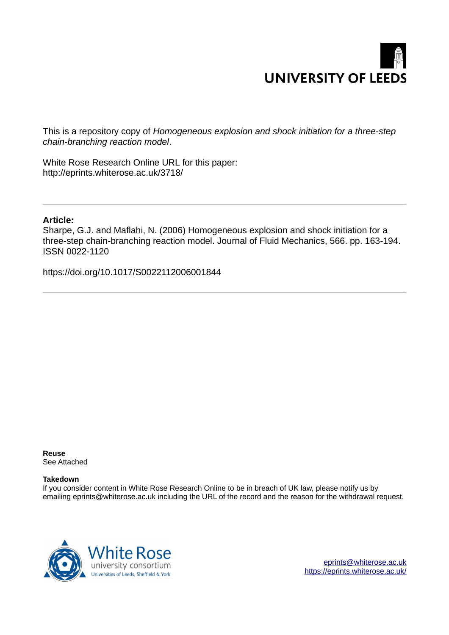# **UNIVERSITY OF LEEDS**

This is a repository copy of *Homogeneous explosion and shock initiation for a three-step chain-branching reaction model*.

White Rose Research Online URL for this paper: http://eprints.whiterose.ac.uk/3718/

## **Article:**

Sharpe, G.J. and Maflahi, N. (2006) Homogeneous explosion and shock initiation for a three-step chain-branching reaction model. Journal of Fluid Mechanics, 566. pp. 163-194. ISSN 0022-1120

https://doi.org/10.1017/S0022112006001844

**Reuse**  See Attached

### **Takedown**

If you consider content in White Rose Research Online to be in breach of UK law, please notify us by emailing eprints@whiterose.ac.uk including the URL of the record and the reason for the withdrawal request.



[eprints@whiterose.ac.uk](mailto:eprints@whiterose.ac.uk) <https://eprints.whiterose.ac.uk/>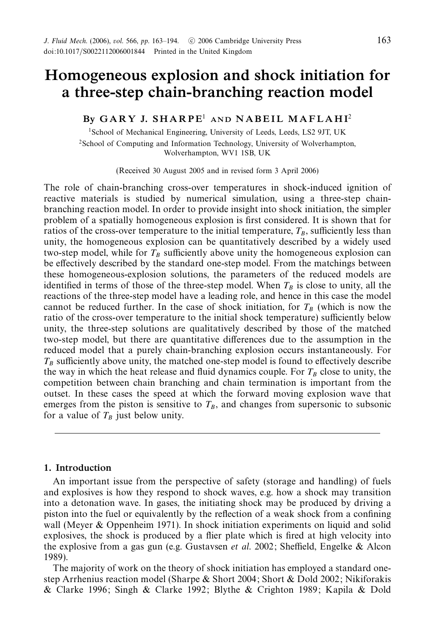# Homogeneous explosion and shock initiation for a three-step chain-branching reaction model

# By GARY J. SHARPE<sup>1</sup> AND NABEIL MAFLAHI<sup>2</sup>

<sup>1</sup>School of Mechanical Engineering, University of Leeds, Leeds, LS2 9JT, UK <sup>2</sup>School of Computing and Information Technology, University of Wolverhampton, Wolverhampton, WV1 1SB, UK

(Received 30 August 2005 and in revised form 3 April 2006)

The role of chain-branching cross-over temperatures in shock-induced ignition of reactive materials is studied by numerical simulation, using a three-step chainbranching reaction model. In order to provide insight into shock initiation, the simpler problem of a spatially homogeneous explosion is first considered. It is shown that for ratios of the cross-over temperature to the initial temperature,  $T_B$ , sufficiently less than unity, the homogeneous explosion can be quantitatively described by a widely used two-step model, while for  $T_B$  sufficiently above unity the homogeneous explosion can be effectively described by the standard one-step model. From the matchings between these homogeneous-explosion solutions, the parameters of the reduced models are identified in terms of those of the three-step model. When  $T_B$  is close to unity, all the reactions of the three-step model have a leading role, and hence in this case the model cannot be reduced further. In the case of shock initiation, for  $T_B$  (which is now the ratio of the cross-over temperature to the initial shock temperature) sufficiently below unity, the three-step solutions are qualitatively described by those of the matched two-step model, but there are quantitative differences due to the assumption in the reduced model that a purely chain-branching explosion occurs instantaneously. For  $T_B$  sufficiently above unity, the matched one-step model is found to effectively describe the way in which the heat release and fluid dynamics couple. For  $T_B$  close to unity, the competition between chain branching and chain termination is important from the outset. In these cases the speed at which the forward moving explosion wave that emerges from the piston is sensitive to  $T_B$ , and changes from supersonic to subsonic for a value of  $T_B$  just below unity.

#### 1. Introduction

An important issue from the perspective of safety (storage and handling) of fuels and explosives is how they respond to shock waves, e.g. how a shock may transition into a detonation wave. In gases, the initiating shock may be produced by driving a piston into the fuel or equivalently by the reflection of a weak shock from a confining wall (Meyer & Oppenheim 1971). In shock initiation experiments on liquid and solid explosives, the shock is produced by a flier plate which is fired at high velocity into the explosive from a gas gun (e.g. Gustavsen et al. 2002; Sheffield, Engelke & Alcon 1989).

The majority of work on the theory of shock initiation has employed a standard onestep Arrhenius reaction model (Sharpe & Short 2004; Short & Dold 2002; Nikiforakis & Clarke 1996; Singh & Clarke 1992; Blythe & Crighton 1989; Kapila & Dold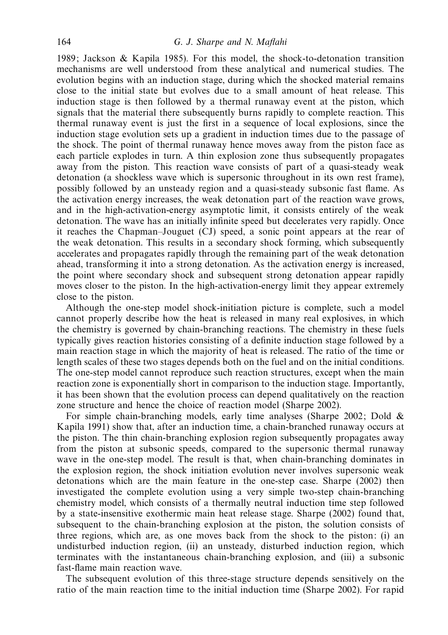1989; Jackson & Kapila 1985). For this model, the shock-to-detonation transition mechanisms are well understood from these analytical and numerical studies. The evolution begins with an induction stage, during which the shocked material remains close to the initial state but evolves due to a small amount of heat release. This induction stage is then followed by a thermal runaway event at the piston, which signals that the material there subsequently burns rapidly to complete reaction. This thermal runaway event is just the first in a sequence of local explosions, since the induction stage evolution sets up a gradient in induction times due to the passage of the shock. The point of thermal runaway hence moves away from the piston face as each particle explodes in turn. A thin explosion zone thus subsequently propagates away from the piston. This reaction wave consists of part of a quasi-steady weak detonation (a shockless wave which is supersonic throughout in its own rest frame), possibly followed by an unsteady region and a quasi-steady subsonic fast flame. As the activation energy increases, the weak detonation part of the reaction wave grows, and in the high-activation-energy asymptotic limit, it consists entirely of the weak detonation. The wave has an initially infinite speed but decelerates very rapidly. Once it reaches the Chapman–Jouguet (CJ) speed, a sonic point appears at the rear of the weak detonation. This results in a secondary shock forming, which subsequently accelerates and propagates rapidly through the remaining part of the weak detonation ahead, transforming it into a strong detonation. As the activation energy is increased, the point where secondary shock and subsequent strong detonation appear rapidly moves closer to the piston. In the high-activation-energy limit they appear extremely close to the piston.

Although the one-step model shock-initiation picture is complete, such a model cannot properly describe how the heat is released in many real explosives, in which the chemistry is governed by chain-branching reactions. The chemistry in these fuels typically gives reaction histories consisting of a definite induction stage followed by a main reaction stage in which the majority of heat is released. The ratio of the time or length scales of these two stages depends both on the fuel and on the initial conditions. The one-step model cannot reproduce such reaction structures, except when the main reaction zone is exponentially short in comparison to the induction stage. Importantly, it has been shown that the evolution process can depend qualitatively on the reaction zone structure and hence the choice of reaction model (Sharpe 2002).

For simple chain-branching models, early time analyses (Sharpe 2002; Dold & Kapila 1991) show that, after an induction time, a chain-branched runaway occurs at the piston. The thin chain-branching explosion region subsequently propagates away from the piston at subsonic speeds, compared to the supersonic thermal runaway wave in the one-step model. The result is that, when chain-branching dominates in the explosion region, the shock initiation evolution never involves supersonic weak detonations which are the main feature in the one-step case. Sharpe (2002) then investigated the complete evolution using a very simple two-step chain-branching chemistry model, which consists of a thermally neutral induction time step followed by a state-insensitive exothermic main heat release stage. Sharpe (2002) found that, subsequent to the chain-branching explosion at the piston, the solution consists of three regions, which are, as one moves back from the shock to the piston: (i) an undisturbed induction region, (ii) an unsteady, disturbed induction region, which terminates with the instantaneous chain-branching explosion, and (iii) a subsonic fast-flame main reaction wave.

The subsequent evolution of this three-stage structure depends sensitively on the ratio of the main reaction time to the initial induction time (Sharpe 2002). For rapid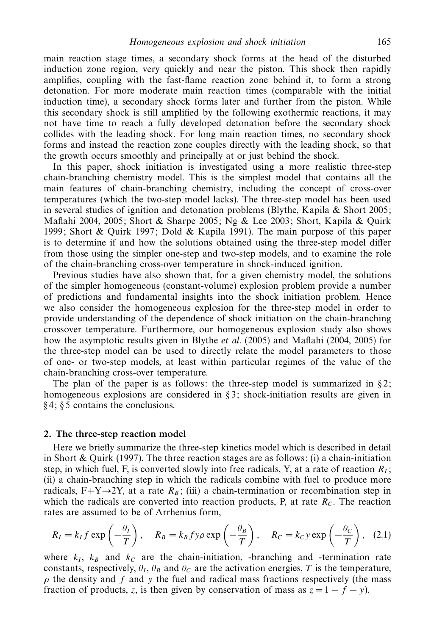main reaction stage times, a secondary shock forms at the head of the disturbed induction zone region, very quickly and near the piston. This shock then rapidly amplifies, coupling with the fast-flame reaction zone behind it, to form a strong detonation. For more moderate main reaction times (comparable with the initial induction time), a secondary shock forms later and further from the piston. While this secondary shock is still amplified by the following exothermic reactions, it may not have time to reach a fully developed detonation before the secondary shock collides with the leading shock. For long main reaction times, no secondary shock forms and instead the reaction zone couples directly with the leading shock, so that the growth occurs smoothly and principally at or just behind the shock.

In this paper, shock initiation is investigated using a more realistic three-step chain-branching chemistry model. This is the simplest model that contains all the main features of chain-branching chemistry, including the concept of cross-over temperatures (which the two-step model lacks). The three-step model has been used in several studies of ignition and detonation problems (Blythe, Kapila & Short 2005; Maflahi 2004, 2005; Short & Sharpe 2005; Ng & Lee 2003; Short, Kapila & Quirk 1999; Short & Quirk 1997; Dold & Kapila 1991). The main purpose of this paper is to determine if and how the solutions obtained using the three-step model differ from those using the simpler one-step and two-step models, and to examine the role of the chain-branching cross-over temperature in shock-induced ignition.

Previous studies have also shown that, for a given chemistry model, the solutions of the simpler homogeneous (constant-volume) explosion problem provide a number of predictions and fundamental insights into the shock initiation problem. Hence we also consider the homogeneous explosion for the three-step model in order to provide understanding of the dependence of shock initiation on the chain-branching crossover temperature. Furthermore, our homogeneous explosion study also shows how the asymptotic results given in Blythe *et al.* (2005) and Maflahi (2004, 2005) for the three-step model can be used to directly relate the model parameters to those of one- or two-step models, at least within particular regimes of the value of the chain-branching cross-over temperature.

The plan of the paper is as follows: the three-step model is summarized in  $\S$ 2; homogeneous explosions are considered in  $\S 3$ ; shock-initiation results are given in § 4; § 5 contains the conclusions.

#### 2. The three-step reaction model

Here we briefly summarize the three-step kinetics model which is described in detail in Short & Quirk (1997). The three reaction stages are as follows: (i) a chain-initiation step, in which fuel, F, is converted slowly into free radicals, Y, at a rate of reaction  $R_1$ ; (ii) a chain-branching step in which the radicals combine with fuel to produce more radicals, F+Y→2Y, at a rate  $R_B$ ; (iii) a chain-termination or recombination step in which the radicals are converted into reaction products, P, at rate  $R<sub>C</sub>$ . The reaction rates are assumed to be of Arrhenius form,

$$
R_I = k_I f \exp\left(-\frac{\theta_I}{T}\right), \quad R_B = k_B f y \rho \exp\left(-\frac{\theta_B}{T}\right), \quad R_C = k_C y \exp\left(-\frac{\theta_C}{T}\right), \quad (2.1)
$$

where  $k_I$ ,  $k_B$  and  $k_C$  are the chain-initiation, -branching and -termination rate constants, respectively,  $\theta_I$ ,  $\theta_B$  and  $\theta_C$  are the activation energies, T is the temperature,  $\rho$  the density and f and y the fuel and radical mass fractions respectively (the mass fraction of products, z, is then given by conservation of mass as  $z = 1 - f - y$ .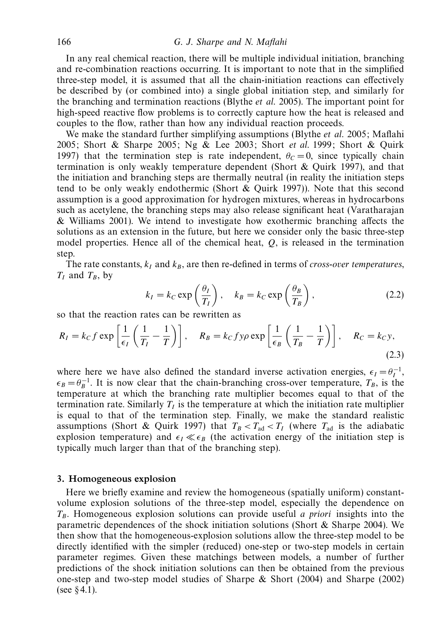In any real chemical reaction, there will be multiple individual initiation, branching and re-combination reactions occurring. It is important to note that in the simplified three-step model, it is assumed that all the chain-initiation reactions can effectively be described by (or combined into) a single global initiation step, and similarly for the branching and termination reactions (Blythe et al. 2005). The important point for high-speed reactive flow problems is to correctly capture how the heat is released and couples to the flow, rather than how any individual reaction proceeds.

We make the standard further simplifying assumptions (Blythe *et al.* 2005; Maflahi 2005; Short & Sharpe 2005; Ng & Lee 2003; Short et al. 1999; Short & Quirk 1997) that the termination step is rate independent,  $\theta_c = 0$ , since typically chain termination is only weakly temperature dependent (Short & Quirk 1997), and that the initiation and branching steps are thermally neutral (in reality the initiation steps tend to be only weakly endothermic (Short & Quirk 1997)). Note that this second assumption is a good approximation for hydrogen mixtures, whereas in hydrocarbons such as acetylene, the branching steps may also release significant heat (Varatharajan & Williams 2001). We intend to investigate how exothermic branching affects the solutions as an extension in the future, but here we consider only the basic three-step model properties. Hence all of the chemical heat,  $Q$ , is released in the termination step.

The rate constants,  $k_I$  and  $k_B$ , are then re-defined in terms of *cross-over temperatures*,  $T_I$  and  $T_B$ , by

$$
k_I = k_C \exp\left(\frac{\theta_I}{T_I}\right), \quad k_B = k_C \exp\left(\frac{\theta_B}{T_B}\right), \tag{2.2}
$$

so that the reaction rates can be rewritten as

$$
R_I = k_C f \exp\left[\frac{1}{\epsilon_I} \left(\frac{1}{T_I} - \frac{1}{T}\right)\right], \quad R_B = k_C f y \rho \exp\left[\frac{1}{\epsilon_B} \left(\frac{1}{T_B} - \frac{1}{T}\right)\right], \quad R_C = k_C y,
$$
\n(2.3)

where here we have also defined the standard inverse activation energies,  $\epsilon_I = \theta_I^{-1}$ ,  $\epsilon_B = \theta_B^{-1}$ . It is now clear that the chain-branching cross-over temperature,  $T_B$ , is the temperature at which the branching rate multiplier becomes equal to that of the termination rate. Similarly  $T_I$  is the temperature at which the initiation rate multiplier is equal to that of the termination step. Finally, we make the standard realistic assumptions (Short & Quirk 1997) that  $T_B < T_{ad} < T_I$  (where  $T_{ad}$  is the adiabatic explosion temperature) and  $\epsilon_I \ll \epsilon_B$  (the activation energy of the initiation step is typically much larger than that of the branching step).

#### 3. Homogeneous explosion

Here we briefly examine and review the homogeneous (spatially uniform) constantvolume explosion solutions of the three-step model, especially the dependence on  $T_B$ . Homogeneous explosion solutions can provide useful a priori insights into the parametric dependences of the shock initiation solutions (Short & Sharpe 2004). We then show that the homogeneous-explosion solutions allow the three-step model to be directly identified with the simpler (reduced) one-step or two-step models in certain parameter regimes. Given these matchings between models, a number of further predictions of the shock initiation solutions can then be obtained from the previous one-step and two-step model studies of Sharpe & Short (2004) and Sharpe (2002) (see  $§$  4.1).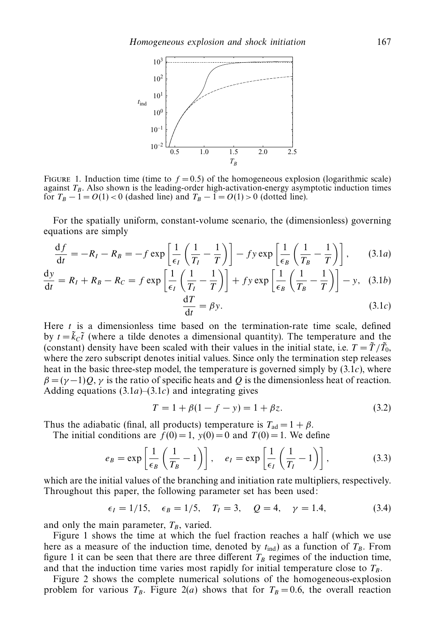

FIGURE 1. Induction time (time to  $f = 0.5$ ) of the homogeneous explosion (logarithmic scale) against  $T_B$ . Also shown is the leading-order high-activation-energy asymptotic induction times for  $T_B - 1 = O(1) < 0$  (dashed line) and  $T_B - 1 = O(1) > 0$  (dotted line).

For the spatially uniform, constant-volume scenario, the (dimensionless) governing equations are simply

$$
\frac{df}{dt} = -R_I - R_B = -f \exp\left[\frac{1}{\epsilon_I} \left(\frac{1}{T_I} - \frac{1}{T}\right)\right] - fy \exp\left[\frac{1}{\epsilon_B} \left(\frac{1}{T_B} - \frac{1}{T}\right)\right],\tag{3.1a}
$$

$$
\frac{dy}{dt} = R_I + R_B - R_C = f \exp\left[\frac{1}{\epsilon_I} \left(\frac{1}{T_I} - \frac{1}{T}\right)\right] + f y \exp\left[\frac{1}{\epsilon_B} \left(\frac{1}{T_B} - \frac{1}{T}\right)\right] - y, \quad (3.1b)
$$

$$
\frac{\mathrm{d}T}{\mathrm{d}t} = \beta y. \tag{3.1c}
$$

Here  $t$  is a dimensionless time based on the termination-rate time scale, defined by  $t = \tilde{k}_c \tilde{t}$  (where a tilde denotes a dimensional quantity). The temperature and the (constant) density have been scaled with their values in the initial state, i.e.  $T = \tilde{T}/\tilde{T}_0$ , where the zero subscript denotes initial values. Since only the termination step releases heat in the basic three-step model, the temperature is governed simply by (3.1c), where  $\beta = (\gamma - 1)Q$ ,  $\gamma$  is the ratio of specific heats and Q is the dimensionless heat of reaction. Adding equations  $(3.1a)$ – $(3.1c)$  and integrating gives

$$
T = 1 + \beta(1 - f - y) = 1 + \beta z.
$$
 (3.2)

Thus the adiabatic (final, all products) temperature is  $T_{ad} = 1 + \beta$ .

The initial conditions are  $f(0) = 1$ ,  $y(0) = 0$  and  $T(0) = 1$ . We define

$$
e_B = \exp\left[\frac{1}{\epsilon_B} \left(\frac{1}{T_B} - 1\right)\right], \quad e_I = \exp\left[\frac{1}{\epsilon_I} \left(\frac{1}{T_I} - 1\right)\right],\tag{3.3}
$$

which are the initial values of the branching and initiation rate multipliers, respectively. Throughout this paper, the following parameter set has been used:

$$
\epsilon_I = 1/15, \quad \epsilon_B = 1/5, \quad T_I = 3, \quad Q = 4, \quad \gamma = 1.4,
$$
 (3.4)

and only the main parameter,  $T_B$ , varied.

Figure 1 shows the time at which the fuel fraction reaches a half (which we use here as a measure of the induction time, denoted by  $t_{\text{ind}}$ ) as a function of  $T_B$ . From figure 1 it can be seen that there are three different  $T_B$  regimes of the induction time, and that the induction time varies most rapidly for initial temperature close to  $T<sub>B</sub>$ .

Figure 2 shows the complete numerical solutions of the homogeneous-explosion problem for various  $T_B$ . Figure 2(a) shows that for  $T_B = 0.6$ , the overall reaction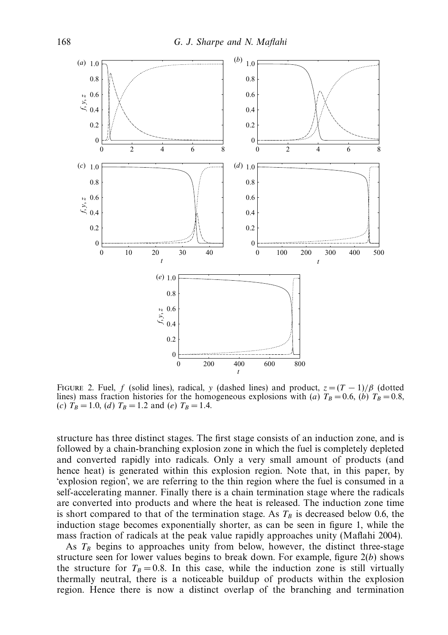

FIGURE 2. Fuel, f (solid lines), radical, y (dashed lines) and product,  $z = (T - 1)/\beta$  (dotted lines) mass fraction histories for the homogeneous explosions with (a)  $T_B = 0.6$ , (b)  $T_B = 0.8$ , (c)  $T_B = 1.0$ , (d)  $T_B = 1.2$  and (e)  $T_B = 1.4$ .

structure has three distinct stages. The first stage consists of an induction zone, and is followed by a chain-branching explosion zone in which the fuel is completely depleted and converted rapidly into radicals. Only a very small amount of products (and hence heat) is generated within this explosion region. Note that, in this paper, by 'explosion region', we are referring to the thin region where the fuel is consumed in a self-accelerating manner. Finally there is a chain termination stage where the radicals are converted into products and where the heat is released. The induction zone time is short compared to that of the termination stage. As  $T_B$  is decreased below 0.6, the induction stage becomes exponentially shorter, as can be seen in figure 1, while the mass fraction of radicals at the peak value rapidly approaches unity (Maflahi 2004).

As  $T_B$  begins to approaches unity from below, however, the distinct three-stage structure seen for lower values begins to break down. For example, figure  $2(b)$  shows the structure for  $T_B = 0.8$ . In this case, while the induction zone is still virtually thermally neutral, there is a noticeable buildup of products within the explosion region. Hence there is now a distinct overlap of the branching and termination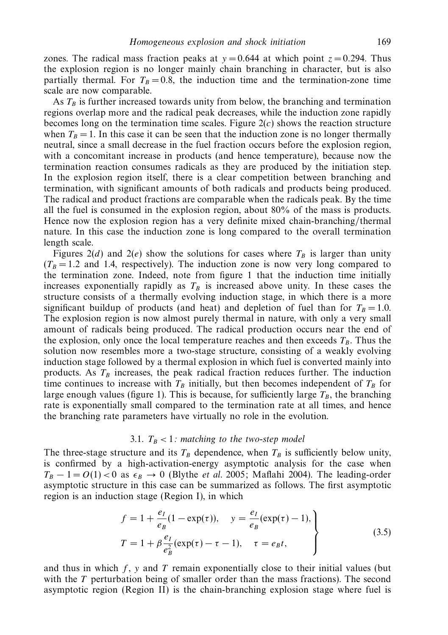zones. The radical mass fraction peaks at  $y = 0.644$  at which point  $z = 0.294$ . Thus the explosion region is no longer mainly chain branching in character, but is also partially thermal. For  $T_B = 0.8$ , the induction time and the termination-zone time scale are now comparable.

As  $T_B$  is further increased towards unity from below, the branching and termination regions overlap more and the radical peak decreases, while the induction zone rapidly becomes long on the termination time scales. Figure  $2(c)$  shows the reaction structure when  $T_B = 1$ . In this case it can be seen that the induction zone is no longer thermally neutral, since a small decrease in the fuel fraction occurs before the explosion region, with a concomitant increase in products (and hence temperature), because now the termination reaction consumes radicals as they are produced by the initiation step. In the explosion region itself, there is a clear competition between branching and termination, with significant amounts of both radicals and products being produced. The radical and product fractions are comparable when the radicals peak. By the time all the fuel is consumed in the explosion region, about 80% of the mass is products. Hence now the explosion region has a very definite mixed chain-branching/thermal nature. In this case the induction zone is long compared to the overall termination length scale.

Figures 2(d) and 2(e) show the solutions for cases where  $T_B$  is larger than unity  $(T_B = 1.2$  and 1.4, respectively). The induction zone is now very long compared to the termination zone. Indeed, note from figure 1 that the induction time initially increases exponentially rapidly as  $T_B$  is increased above unity. In these cases the structure consists of a thermally evolving induction stage, in which there is a more significant buildup of products (and heat) and depletion of fuel than for  $T_B = 1.0$ . The explosion region is now almost purely thermal in nature, with only a very small amount of radicals being produced. The radical production occurs near the end of the explosion, only once the local temperature reaches and then exceeds  $T_B$ . Thus the solution now resembles more a two-stage structure, consisting of a weakly evolving induction stage followed by a thermal explosion in which fuel is converted mainly into products. As  $T_B$  increases, the peak radical fraction reduces further. The induction time continues to increase with  $T_B$  initially, but then becomes independent of  $T_B$  for large enough values (figure 1). This is because, for sufficiently large  $T_B$ , the branching rate is exponentially small compared to the termination rate at all times, and hence the branching rate parameters have virtually no role in the evolution.

#### 3.1.  $T_B < 1$ : matching to the two-step model

The three-stage structure and its  $T_B$  dependence, when  $T_B$  is sufficiently below unity, is confirmed by a high-activation-energy asymptotic analysis for the case when  $T_B - 1 = O(1) < 0$  as  $\epsilon_B \rightarrow 0$  (Blythe *et al.* 2005; Maflahi 2004). The leading-order asymptotic structure in this case can be summarized as follows. The first asymptotic region is an induction stage (Region I), in which

$$
f = 1 + \frac{e_I}{e_B}(1 - \exp(\tau)), \quad y = \frac{e_I}{e_B}(\exp(\tau) - 1),
$$
  
\n
$$
T = 1 + \beta \frac{e_I}{e_B^2}(\exp(\tau) - \tau - 1), \quad \tau = e_B t,
$$
\n(3.5)

and thus in which  $f$ , y and T remain exponentially close to their initial values (but with the  $T$  perturbation being of smaller order than the mass fractions). The second asymptotic region (Region II) is the chain-branching explosion stage where fuel is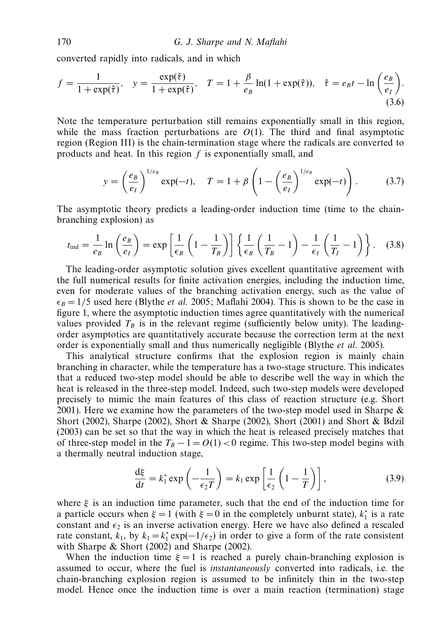converted rapidly into radicals, and in which

$$
f = \frac{1}{1 + \exp(\hat{\tau})}, \quad y = \frac{\exp(\hat{\tau})}{1 + \exp(\hat{\tau})}, \quad T = 1 + \frac{\beta}{e_B} \ln(1 + \exp(\hat{\tau})), \quad \hat{\tau} = e_B t - \ln\left(\frac{e_B}{e_I}\right).
$$
\n(3.6)

Note the temperature perturbation still remains exponentially small in this region, while the mass fraction perturbations are  $O(1)$ . The third and final asymptotic region (Region III) is the chain-termination stage where the radicals are converted to products and heat. In this region  $f$  is exponentially small, and

$$
y = \left(\frac{e_B}{e_I}\right)^{1/e_B} \exp(-t), \quad T = 1 + \beta \left(1 - \left(\frac{e_B}{e_I}\right)^{1/e_B} \exp(-t)\right). \tag{3.7}
$$

The asymptotic theory predicts a leading-order induction time (time to the chainbranching explosion) as

$$
t_{\rm ind} = \frac{1}{e_B} \ln \left( \frac{e_B}{e_I} \right) = \exp \left[ \frac{1}{\epsilon_B} \left( 1 - \frac{1}{T_B} \right) \right] \left\{ \frac{1}{\epsilon_B} \left( \frac{1}{T_B} - 1 \right) - \frac{1}{\epsilon_I} \left( \frac{1}{T_I} - 1 \right) \right\}.
$$
 (3.8)

The leading-order asymptotic solution gives excellent quantitative agreement with the full numerical results for finite activation energies, including the induction time, even for moderate values of the branching activation energy, such as the value of  $\epsilon_B = 1/5$  used here (Blythe *et al.* 2005; Maflahi 2004). This is shown to be the case in figure 1, where the asymptotic induction times agree quantitatively with the numerical values provided  $T_B$  is in the relevant regime (sufficiently below unity). The leadingorder asymptotics are quantitatively accurate because the correction term at the next order is exponentially small and thus numerically negligible (Blythe et al. 2005).

This analytical structure confirms that the explosion region is mainly chain branching in character, while the temperature has a two-stage structure. This indicates that a reduced two-step model should be able to describe well the way in which the heat is released in the three-step model. Indeed, such two-step models were developed precisely to mimic the main features of this class of reaction structure (e.g. Short 2001). Here we examine how the parameters of the two-step model used in Sharpe  $\&$ Short (2002), Sharpe (2002), Short & Sharpe (2002), Short (2001) and Short & Bdzil (2003) can be set so that the way in which the heat is released precisely matches that of three-step model in the  $T_B - 1 = O(1) < 0$  regime. This two-step model begins with a thermally neutral induction stage,

$$
\frac{d\xi}{dt} = k_1^* \exp\left(-\frac{1}{\epsilon_2 T}\right) = k_1 \exp\left[\frac{1}{\epsilon_2} \left(1 - \frac{1}{T}\right)\right],\tag{3.9}
$$

where  $\xi$  is an induction time parameter, such that the end of the induction time for a particle occurs when  $\xi = 1$  (with  $\xi = 0$  in the completely unburnt state),  $k_1^*$  is a rate constant and  $\epsilon_2$  is an inverse activation energy. Here we have also defined a rescaled rate constant,  $k_1$ , by  $k_1 = k_1^* \exp(-1/\epsilon_2)$  in order to give a form of the rate consistent with Sharpe & Short (2002) and Sharpe (2002).

When the induction time  $\xi = 1$  is reached a purely chain-branching explosion is assumed to occur, where the fuel is instantaneously converted into radicals, i.e. the chain-branching explosion region is assumed to be infinitely thin in the two-step model. Hence once the induction time is over a main reaction (termination) stage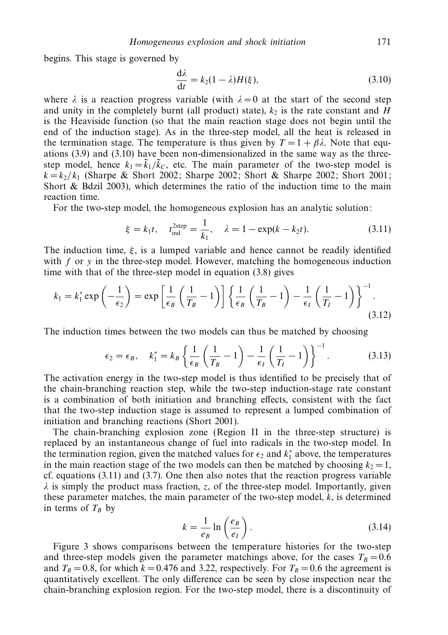begins. This stage is governed by

$$
\frac{\mathrm{d}\lambda}{\mathrm{d}t} = k_2(1-\lambda)H(\xi),\tag{3.10}
$$

where  $\lambda$  is a reaction progress variable (with  $\lambda = 0$  at the start of the second step and unity in the completely burnt (all product) state),  $k<sub>2</sub>$  is the rate constant and H is the Heaviside function (so that the main reaction stage does not begin until the end of the induction stage). As in the three-step model, all the heat is released in the termination stage. The temperature is thus given by  $T = 1 + \beta \lambda$ . Note that equations (3.9) and (3.10) have been non-dimensionalized in the same way as the threestep model, hence  $k_1 = \tilde{k}_1/\tilde{k}_C$ , etc. The main parameter of the two-step model is  $k = k_2/k_1$  (Sharpe & Short 2002; Sharpe 2002; Short & Sharpe 2002; Short 2001; Short  $\&$  Bdzil 2003), which determines the ratio of the induction time to the main reaction time.

For the two-step model, the homogeneous explosion has an analytic solution:

$$
\xi = k_1 t, \quad t_{\text{ind}}^{2\text{step}} = \frac{1}{k_1}, \quad \lambda = 1 - \exp(k - k_2 t).
$$
 (3.11)

The induction time,  $\xi$ , is a lumped variable and hence cannot be readily identified with  $f$  or  $y$  in the three-step model. However, matching the homogeneous induction time with that of the three-step model in equation (3.8) gives

$$
k_1 = k_1^* \exp\left(-\frac{1}{\epsilon_2}\right) = \exp\left[\frac{1}{\epsilon_B} \left(\frac{1}{T_B} - 1\right)\right] \left\{ \frac{1}{\epsilon_B} \left(\frac{1}{T_B} - 1\right) - \frac{1}{\epsilon_I} \left(\frac{1}{T_I} - 1\right) \right\}^{-1}.
$$
\n(3.12)

The induction times between the two models can thus be matched by choosing

$$
\epsilon_2 = \epsilon_B, \quad k_1^* = k_B \left\{ \frac{1}{\epsilon_B} \left( \frac{1}{T_B} - 1 \right) - \frac{1}{\epsilon_I} \left( \frac{1}{T_I} - 1 \right) \right\}^{-1}.
$$
\n(3.13)

The activation energy in the two-step model is thus identified to be precisely that of the chain-branching reaction step, while the two-step induction-stage rate constant is a combination of both initiation and branching effects, consistent with the fact that the two-step induction stage is assumed to represent a lumped combination of initiation and branching reactions (Short 2001).

The chain-branching explosion zone (Region II in the three-step structure) is replaced by an instantaneous change of fuel into radicals in the two-step model. In the termination region, given the matched values for  $\epsilon_2$  and  $k_1^*$  above, the temperatures in the main reaction stage of the two models can then be matched by choosing  $k_2 = 1$ , cf. equations  $(3.11)$  and  $(3.7)$ . One then also notes that the reaction progress variable  $\lambda$  is simply the product mass fraction, z, of the three-step model. Importantly, given these parameter matches, the main parameter of the two-step model, k, is determined in terms of  $T_B$  by

$$
k = \frac{1}{e_B} \ln \left( \frac{e_B}{e_I} \right). \tag{3.14}
$$

Figure 3 shows comparisons between the temperature histories for the two-step and three-step models given the parameter matchings above, for the cases  $T_B = 0.6$ and  $T_B = 0.8$ , for which  $k = 0.476$  and 3.22, respectively. For  $T_B = 0.6$  the agreement is quantitatively excellent. The only difference can be seen by close inspection near the chain-branching explosion region. For the two-step model, there is a discontinuity of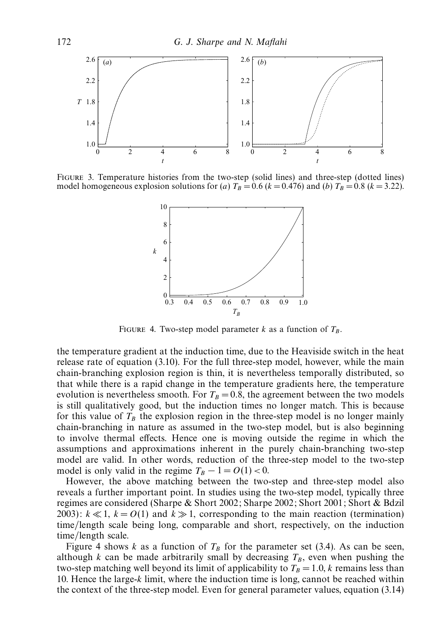

Figure 3. Temperature histories from the two-step (solid lines) and three-step (dotted lines) model homogeneous explosion solutions for (a)  $T_B = 0.6$  (k = 0.476) and (b)  $T_B = 0.8$  (k = 3.22).



FIGURE 4. Two-step model parameter k as a function of  $T_B$ .

the temperature gradient at the induction time, due to the Heaviside switch in the heat release rate of equation (3.10). For the full three-step model, however, while the main chain-branching explosion region is thin, it is nevertheless temporally distributed, so that while there is a rapid change in the temperature gradients here, the temperature evolution is nevertheless smooth. For  $T_B = 0.8$ , the agreement between the two models is still qualitatively good, but the induction times no longer match. This is because for this value of  $T_B$  the explosion region in the three-step model is no longer mainly chain-branching in nature as assumed in the two-step model, but is also beginning to involve thermal effects. Hence one is moving outside the regime in which the assumptions and approximations inherent in the purely chain-branching two-step model are valid. In other words, reduction of the three-step model to the two-step model is only valid in the regime  $T_B - 1 = O(1) < 0$ .

However, the above matching between the two-step and three-step model also reveals a further important point. In studies using the two-step model, typically three regimes are considered (Sharpe & Short 2002; Sharpe 2002; Short 2001; Short & Bdzil 2003):  $k \ll 1$ ,  $k = O(1)$  and  $k \gg 1$ , corresponding to the main reaction (termination) time/length scale being long, comparable and short, respectively, on the induction time/length scale.

Figure 4 shows k as a function of  $T_B$  for the parameter set (3.4). As can be seen, although k can be made arbitrarily small by decreasing  $T_B$ , even when pushing the two-step matching well beyond its limit of applicability to  $T_B = 1.0$ , k remains less than 10. Hence the large- $k$  limit, where the induction time is long, cannot be reached within the context of the three-step model. Even for general parameter values, equation (3.14)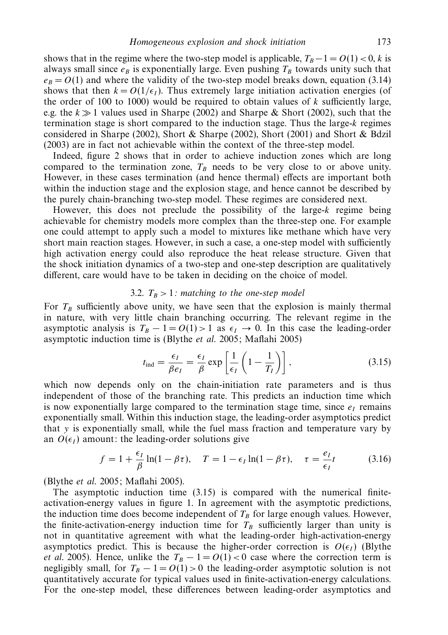shows that in the regime where the two-step model is applicable,  $T_B - 1 = O(1) < 0$ , k is always small since  $e_B$  is exponentially large. Even pushing  $T_B$  towards unity such that  $e_B = O(1)$  and where the validity of the two-step model breaks down, equation (3.14) shows that then  $k = O(1/\epsilon_I)$ . Thus extremely large initiation activation energies (of the order of 100 to 1000) would be required to obtain values of  $k$  sufficiently large, e.g. the  $k \gg 1$  values used in Sharpe (2002) and Sharpe & Short (2002), such that the termination stage is short compared to the induction stage. Thus the large-k regimes considered in Sharpe (2002), Short & Sharpe (2002), Short (2001) and Short & Bdzil (2003) are in fact not achievable within the context of the three-step model.

Indeed, figure 2 shows that in order to achieve induction zones which are long compared to the termination zone,  $T_B$  needs to be very close to or above unity. However, in these cases termination (and hence thermal) effects are important both within the induction stage and the explosion stage, and hence cannot be described by the purely chain-branching two-step model. These regimes are considered next.

However, this does not preclude the possibility of the large-k regime being achievable for chemistry models more complex than the three-step one. For example one could attempt to apply such a model to mixtures like methane which have very short main reaction stages. However, in such a case, a one-step model with sufficiently high activation energy could also reproduce the heat release structure. Given that the shock initiation dynamics of a two-step and one-step description are qualitatively different, care would have to be taken in deciding on the choice of model.

#### 3.2.  $T_B > 1$ : matching to the one-step model

For  $T_B$  sufficiently above unity, we have seen that the explosion is mainly thermal in nature, with very little chain branching occurring. The relevant regime in the asymptotic analysis is  $T_B - 1 = O(1) > 1$  as  $\epsilon_I \rightarrow 0$ . In this case the leading-order asymptotic induction time is (Blythe et al. 2005; Maflahi 2005)

$$
t_{\rm ind} = \frac{\epsilon_I}{\beta e_I} = \frac{\epsilon_I}{\beta} \exp\left[\frac{1}{\epsilon_I} \left(1 - \frac{1}{T_I}\right)\right],\tag{3.15}
$$

which now depends only on the chain-initiation rate parameters and is thus independent of those of the branching rate. This predicts an induction time which is now exponentially large compared to the termination stage time, since  $e_I$  remains exponentially small. Within this induction stage, the leading-order asymptotics predict that y is exponentially small, while the fuel mass fraction and temperature vary by an  $O(\epsilon_I)$  amount: the leading-order solutions give

$$
f = 1 + \frac{\epsilon_I}{\beta} \ln(1 - \beta \tau), \quad T = 1 - \epsilon_I \ln(1 - \beta \tau), \quad \tau = \frac{e_I}{\epsilon_I}t \tag{3.16}
$$

(Blythe et al. 2005; Maflahi 2005).

The asymptotic induction time (3.15) is compared with the numerical finiteactivation-energy values in figure 1. In agreement with the asymptotic predictions, the induction time does become independent of  $T_B$  for large enough values. However, the finite-activation-energy induction time for  $T_B$  sufficiently larger than unity is not in quantitative agreement with what the leading-order high-activation-energy asymptotics predict. This is because the higher-order correction is  $O(\epsilon_I)$  (Blythe et al. 2005). Hence, unlike the  $T_B - 1 = O(1) < 0$  case where the correction term is negligibly small, for  $T_B - 1 = O(1) > 0$  the leading-order asymptotic solution is not quantitatively accurate for typical values used in finite-activation-energy calculations. For the one-step model, these differences between leading-order asymptotics and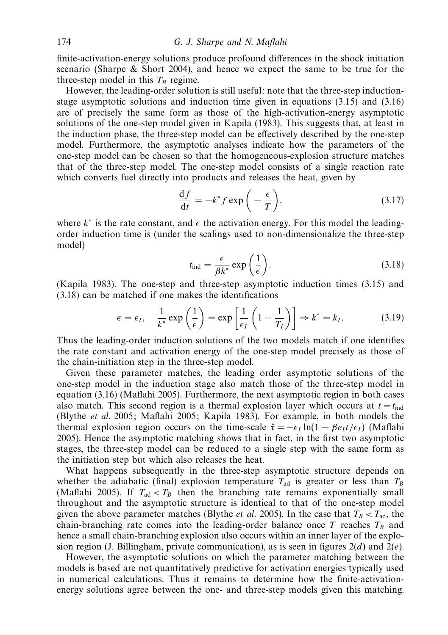finite-activation-energy solutions produce profound differences in the shock initiation scenario (Sharpe  $\&$  Short 2004), and hence we expect the same to be true for the three-step model in this  $T_B$  regime.

However, the leading-order solution is still useful: note that the three-step inductionstage asymptotic solutions and induction time given in equations (3.15) and (3.16) are of precisely the same form as those of the high-activation-energy asymptotic solutions of the one-step model given in Kapila (1983). This suggests that, at least in the induction phase, the three-step model can be effectively described by the one-step model. Furthermore, the asymptotic analyses indicate how the parameters of the one-step model can be chosen so that the homogeneous-explosion structure matches that of the three-step model. The one-step model consists of a single reaction rate which converts fuel directly into products and releases the heat, given by

$$
\frac{\mathrm{d}f}{\mathrm{d}t} = -k^* f \exp\left(-\frac{\epsilon}{T}\right),\tag{3.17}
$$

where  $k^*$  is the rate constant, and  $\epsilon$  the activation energy. For this model the leadingorder induction time is (under the scalings used to non-dimensionalize the three-step model)

$$
t_{\rm ind} = \frac{\epsilon}{\beta k^*} \exp\left(\frac{1}{\epsilon}\right). \tag{3.18}
$$

(Kapila 1983). The one-step and three-step asymptotic induction times (3.15) and (3.18) can be matched if one makes the identifications

$$
\epsilon = \epsilon_I, \quad \frac{1}{k^*} \exp\left(\frac{1}{\epsilon}\right) = \exp\left[\frac{1}{\epsilon_I} \left(1 - \frac{1}{T_I}\right)\right] \Rightarrow k^* = k_I.
$$
\n(3.19)

Thus the leading-order induction solutions of the two models match if one identifies the rate constant and activation energy of the one-step model precisely as those of the chain-initiation step in the three-step model.

Given these parameter matches, the leading order asymptotic solutions of the one-step model in the induction stage also match those of the three-step model in equation (3.16) (Maflahi 2005). Furthermore, the next asymptotic region in both cases also match. This second region is a thermal explosion layer which occurs at  $t = t_{ind}$ (Blythe et al. 2005; Maflahi 2005; Kapila 1983). For example, in both models the thermal explosion region occurs on the time-scale  $\hat{\tau} = -\epsilon_I \ln(1 - \beta e_I t/\epsilon_I)$  (Maflahi 2005). Hence the asymptotic matching shows that in fact, in the first two asymptotic stages, the three-step model can be reduced to a single step with the same form as the initiation step but which also releases the heat.

What happens subsequently in the three-step asymptotic structure depends on whether the adiabatic (final) explosion temperature  $T_{ad}$  is greater or less than  $T_B$ (Maflahi 2005). If  $T_{ad} < T_B$  then the branching rate remains exponentially small throughout and the asymptotic structure is identical to that of the one-step model given the above parameter matches (Blythe *et al.* 2005). In the case that  $T_B < T_{ad}$ , the chain-branching rate comes into the leading-order balance once  $T$  reaches  $T_B$  and hence a small chain-branching explosion also occurs within an inner layer of the explosion region (J. Billingham, private communication), as is seen in figures  $2(d)$  and  $2(e)$ .

However, the asymptotic solutions on which the parameter matching between the models is based are not quantitatively predictive for activation energies typically used in numerical calculations. Thus it remains to determine how the finite-activationenergy solutions agree between the one- and three-step models given this matching.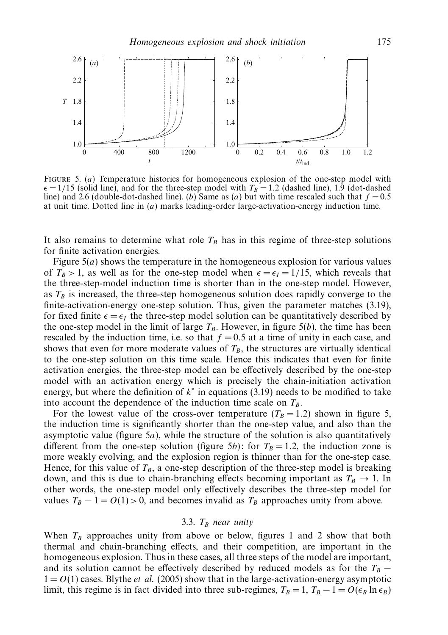

FIGURE 5. (a) Temperature histories for homogeneous explosion of the one-step model with  $\epsilon = 1/15$  (solid line), and for the three-step model with  $T_B = 1.2$  (dashed line), 1.9 (dot-dashed line) and 2.6 (double-dot-dashed line). (b) Same as (a) but with time rescaled such that  $f = 0.5$ at unit time. Dotted line in  $(a)$  marks leading-order large-activation-energy induction time.

It also remains to determine what role  $T_B$  has in this regime of three-step solutions for finite activation energies.

Figure  $5(a)$  shows the temperature in the homogeneous explosion for various values of  $T_B > 1$ , as well as for the one-step model when  $\epsilon = \epsilon_I = 1/15$ , which reveals that the three-step-model induction time is shorter than in the one-step model. However, as  $T_B$  is increased, the three-step homogeneous solution does rapidly converge to the finite-activation-energy one-step solution. Thus, given the parameter matches (3.19), for fixed finite  $\epsilon = \epsilon_I$  the three-step model solution can be quantitatively described by the one-step model in the limit of large  $T_B$ . However, in figure 5(b), the time has been rescaled by the induction time, i.e. so that  $f = 0.5$  at a time of unity in each case, and shows that even for more moderate values of  $T_B$ , the structures are virtually identical to the one-step solution on this time scale. Hence this indicates that even for finite activation energies, the three-step model can be effectively described by the one-step model with an activation energy which is precisely the chain-initiation activation energy, but where the definition of  $k^*$  in equations (3.19) needs to be modified to take into account the dependence of the induction time scale on  $T_B$ .

For the lowest value of the cross-over temperature  $(T_B = 1.2)$  shown in figure 5, the induction time is significantly shorter than the one-step value, and also than the asymptotic value (figure  $5a$ ), while the structure of the solution is also quantitatively different from the one-step solution (figure 5b): for  $T_B = 1.2$ , the induction zone is more weakly evolving, and the explosion region is thinner than for the one-step case. Hence, for this value of  $T_B$ , a one-step description of the three-step model is breaking down, and this is due to chain-branching effects becoming important as  $T_B \rightarrow 1$ . In other words, the one-step model only effectively describes the three-step model for values  $T_B - 1 = O(1) > 0$ , and becomes invalid as  $T_B$  approaches unity from above.

#### 3.3.  $T_B$  near unity

When  $T_B$  approaches unity from above or below, figures 1 and 2 show that both thermal and chain-branching effects, and their competition, are important in the homogeneous explosion. Thus in these cases, all three steps of the model are important, and its solution cannot be effectively described by reduced models as for the  $T_B$  −  $1 = O(1)$  cases. Blythe *et al.* (2005) show that in the large-activation-energy asymptotic limit, this regime is in fact divided into three sub-regimes,  $T_B = 1, T_B - 1 = O(\epsilon_B \ln \epsilon_B)$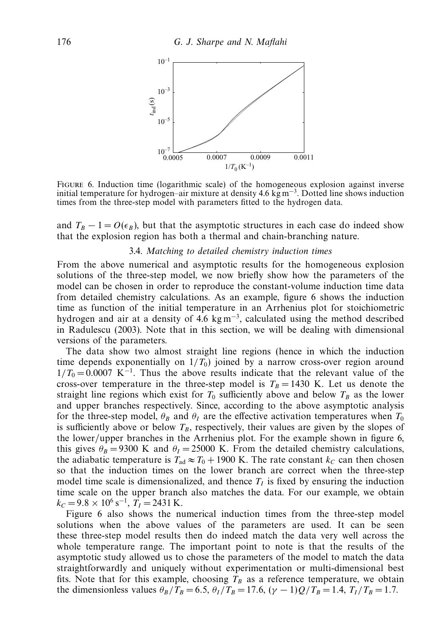

Figure 6. Induction time (logarithmic scale) of the homogeneous explosion against inverse initial temperature for hydrogen–air mixture at density 4.6 kg m<sup>-3</sup>. Dotted line shows induction times from the three-step model with parameters fitted to the hydrogen data.

and  $T_B - 1 = O(\epsilon_B)$ , but that the asymptotic structures in each case do indeed show that the explosion region has both a thermal and chain-branching nature.

#### 3.4. Matching to detailed chemistry induction times

From the above numerical and asymptotic results for the homogeneous explosion solutions of the three-step model, we now briefly show how the parameters of the model can be chosen in order to reproduce the constant-volume induction time data from detailed chemistry calculations. As an example, figure 6 shows the induction time as function of the initial temperature in an Arrhenius plot for stoichiometric hydrogen and air at a density of 4.6 kg m<sup>-3</sup>, calculated using the method described in Radulescu (2003). Note that in this section, we will be dealing with dimensional versions of the parameters.

The data show two almost straight line regions (hence in which the induction time depends exponentially on  $1/T_0$ ) joined by a narrow cross-over region around  $1/T_0 = 0.0007$  K<sup>-1</sup>. Thus the above results indicate that the relevant value of the cross-over temperature in the three-step model is  $T_B = 1430$  K. Let us denote the straight line regions which exist for  $T_0$  sufficiently above and below  $T_B$  as the lower and upper branches respectively. Since, according to the above asymptotic analysis for the three-step model,  $\theta_B$  and  $\theta_I$  are the effective activation temperatures when  $T_0$ is sufficiently above or below  $T_B$ , respectively, their values are given by the slopes of the lower/upper branches in the Arrhenius plot. For the example shown in figure 6, this gives  $\theta_B = 9300$  K and  $\theta_I = 25000$  K. From the detailed chemistry calculations, the adiabatic temperature is  $T_{ad} \approx T_0 + 1900$  K. The rate constant  $k_C$  can then chosen so that the induction times on the lower branch are correct when the three-step model time scale is dimensionalized, and thence  $T<sub>I</sub>$  is fixed by ensuring the induction time scale on the upper branch also matches the data. For our example, we obtain  $k_C = 9.8 \times 10^6 \text{ s}^{-1}, T_I = 2431 \text{ K}.$ 

Figure 6 also shows the numerical induction times from the three-step model solutions when the above values of the parameters are used. It can be seen these three-step model results then do indeed match the data very well across the whole temperature range. The important point to note is that the results of the asymptotic study allowed us to chose the parameters of the model to match the data straightforwardly and uniquely without experimentation or multi-dimensional best fits. Note that for this example, choosing  $T_B$  as a reference temperature, we obtain the dimensionless values  $\theta_B/T_B = 6.5$ ,  $\theta_I/T_B = 17.6$ ,  $(\gamma - 1)Q/T_B = 1.4$ ,  $T_I/T_B = 1.7$ .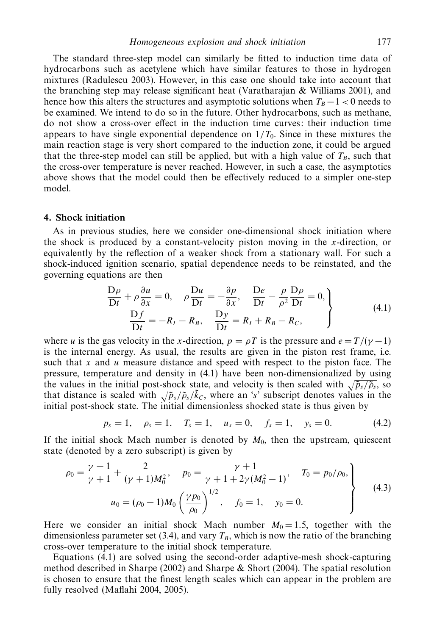The standard three-step model can similarly be fitted to induction time data of hydrocarbons such as acetylene which have similar features to those in hydrogen mixtures (Radulescu 2003). However, in this case one should take into account that the branching step may release significant heat (Varatharajan  $\&$  Williams 2001), and hence how this alters the structures and asymptotic solutions when  $T_B - 1 < 0$  needs to be examined. We intend to do so in the future. Other hydrocarbons, such as methane, do not show a cross-over effect in the induction time curves: their induction time appears to have single exponential dependence on  $1/T_0$ . Since in these mixtures the main reaction stage is very short compared to the induction zone, it could be argued that the three-step model can still be applied, but with a high value of  $T_B$ , such that the cross-over temperature is never reached. However, in such a case, the asymptotics above shows that the model could then be effectively reduced to a simpler one-step model.

#### 4. Shock initiation

As in previous studies, here we consider one-dimensional shock initiation where the shock is produced by a constant-velocity piston moving in the x-direction, or equivalently by the reflection of a weaker shock from a stationary wall. For such a shock-induced ignition scenario, spatial dependence needs to be reinstated, and the governing equations are then

$$
\frac{D\rho}{Dt} + \rho \frac{\partial u}{\partial x} = 0, \quad \rho \frac{Du}{Dt} = -\frac{\partial p}{\partial x}, \quad \frac{De}{Dt} - \frac{p}{\rho^2} \frac{D\rho}{Dt} = 0,
$$
\n
$$
\frac{Df}{Dt} = -R_I - R_B, \quad \frac{Dy}{Dt} = R_I + R_B - R_C,
$$
\n(4.1)

where u is the gas velocity in the x-direction,  $p = \rho T$  is the pressure and  $e = T/(\gamma - 1)$ is the internal energy. As usual, the results are given in the piston rest frame, i.e. such that  $x$  and  $u$  measure distance and speed with respect to the piston face. The pressure, temperature and density in (4.1) have been non-dimensionalized by using the values in the initial post-shock state, and velocity is then scaled with  $\sqrt{\tilde{p}_s/\tilde{\rho}_s}$ , so that distance is scaled with  $\sqrt{\tilde{p}_s/\tilde{\rho}_s}/\tilde{k}_c$ , where an 's' subscript denotes values in the initial post-shock state. The initial dimensionless shocked state is thus given by

$$
p_s = 1, \quad \rho_s = 1, \quad T_s = 1, \quad u_s = 0, \quad f_s = 1, \quad y_s = 0.
$$
 (4.2)

If the initial shock Mach number is denoted by  $M_0$ , then the upstream, quiescent state (denoted by a zero subscript) is given by

$$
\rho_0 = \frac{\gamma - 1}{\gamma + 1} + \frac{2}{(\gamma + 1)M_0^2}, \quad p_0 = \frac{\gamma + 1}{\gamma + 1 + 2\gamma(M_0^2 - 1)}, \quad T_0 = p_0/\rho_0,
$$
\n
$$
u_0 = (\rho_0 - 1)M_0 \left(\frac{\gamma p_0}{\rho_0}\right)^{1/2}, \quad f_0 = 1, \quad y_0 = 0.
$$
\n(4.3)

Here we consider an initial shock Mach number  $M_0 = 1.5$ , together with the dimensionless parameter set (3.4), and vary  $T_B$ , which is now the ratio of the branching cross-over temperature to the initial shock temperature.

Equations (4.1) are solved using the second-order adaptive-mesh shock-capturing method described in Sharpe (2002) and Sharpe & Short (2004). The spatial resolution is chosen to ensure that the finest length scales which can appear in the problem are fully resolved (Maflahi 2004, 2005).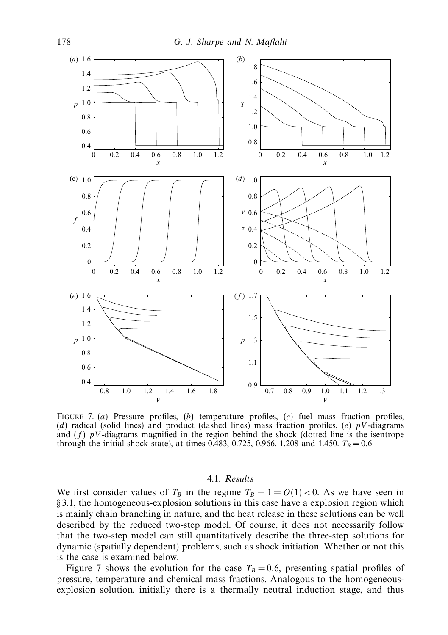

FIGURE 7. (a) Pressure profiles, (b) temperature profiles, (c) fuel mass fraction profiles, (d) radical (solid lines) and product (dashed lines) mass fraction profiles, (e)  $pV$ -diagrams and  $(f)$  pV-diagrams magnified in the region behind the shock (dotted line is the isentrope through the initial shock state), at times 0.483, 0.725, 0.966, 1.208 and 1.450.  $T_B = 0.6$ 

#### 4.1. Results

We first consider values of  $T_B$  in the regime  $T_B - 1 = O(1) < 0$ . As we have seen in § 3.1, the homogeneous-explosion solutions in this case have a explosion region which is mainly chain branching in nature, and the heat release in these solutions can be well described by the reduced two-step model. Of course, it does not necessarily follow that the two-step model can still quantitatively describe the three-step solutions for dynamic (spatially dependent) problems, such as shock initiation. Whether or not this is the case is examined below.

Figure 7 shows the evolution for the case  $T_B = 0.6$ , presenting spatial profiles of pressure, temperature and chemical mass fractions. Analogous to the homogeneousexplosion solution, initially there is a thermally neutral induction stage, and thus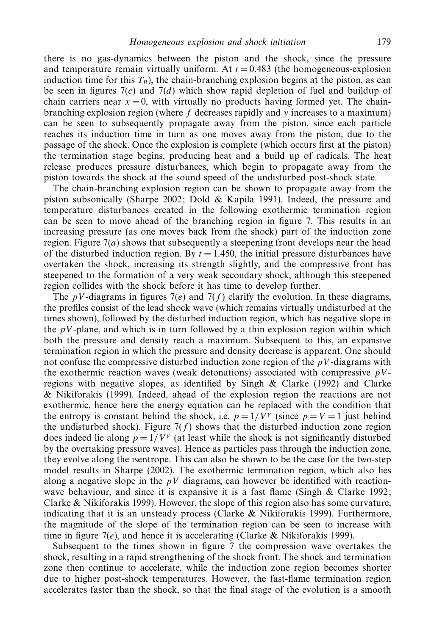there is no gas-dynamics between the piston and the shock, since the pressure and temperature remain virtually uniform. At  $t = 0.483$  (the homogeneous-explosion induction time for this  $T_B$ ), the chain-branching explosion begins at the piston, as can be seen in figures  $7(c)$  and  $7(d)$  which show rapid depletion of fuel and buildup of chain carriers near  $x = 0$ , with virtually no products having formed yet. The chainbranching explosion region (where  $f$  decreases rapidly and  $y$  increases to a maximum) can be seen to subsequently propagate away from the piston, since each particle reaches its induction time in turn as one moves away from the piston, due to the passage of the shock. Once the explosion is complete (which occurs first at the piston) the termination stage begins, producing heat and a build up of radicals. The heat release produces pressure disturbances, which begin to propagate away from the piston towards the shock at the sound speed of the undisturbed post-shock state.

The chain-branching explosion region can be shown to propagate away from the piston subsonically (Sharpe 2002; Dold & Kapila 1991). Indeed, the pressure and temperature disturbances created in the following exothermic termination region can be seen to move ahead of the branching region in figure 7. This results in an increasing pressure (as one moves back from the shock) part of the induction zone region. Figure  $7(a)$  shows that subsequently a steepening front develops near the head of the disturbed induction region. By  $t = 1.450$ , the initial pressure disturbances have overtaken the shock, increasing its strength slightly, and the compressive front has steepened to the formation of a very weak secondary shock, although this steepened region collides with the shock before it has time to develop further.

The *pV*-diagrams in figures  $7(e)$  and  $7(f)$  clarify the evolution. In these diagrams, the profiles consist of the lead shock wave (which remains virtually undisturbed at the times shown), followed by the disturbed induction region, which has negative slope in the  $pV$ -plane, and which is in turn followed by a thin explosion region within which both the pressure and density reach a maximum. Subsequent to this, an expansive termination region in which the pressure and density decrease is apparent. One should not confuse the compressive disturbed induction zone region of the  $pV$ -diagrams with the exothermic reaction waves (weak detonations) associated with compressive  $pV$ regions with negative slopes, as identified by Singh  $\&$  Clarke (1992) and Clarke & Nikiforakis (1999). Indeed, ahead of the explosion region the reactions are not exothermic, hence here the energy equation can be replaced with the condition that the entropy is constant behind the shock, i.e.  $p = 1/V^{\gamma}$  (since  $p = V = 1$  just behind the undisturbed shock). Figure  $7(f)$  shows that the disturbed induction zone region does indeed lie along  $p = 1/V^{\gamma}$  (at least while the shock is not significantly disturbed by the overtaking pressure waves). Hence as particles pass through the induction zone, they evolve along the isentrope. This can also be shown to be the case for the two-step model results in Sharpe (2002). The exothermic termination region, which also lies along a negative slope in the  $pV$  diagrams, can however be identified with reactionwave behaviour, and since it is expansive it is a fast flame (Singh & Clarke 1992; Clarke & Nikiforakis 1999). However, the slope of this region also has some curvature, indicating that it is an unsteady process (Clarke  $\&$  Nikiforakis 1999). Furthermore, the magnitude of the slope of the termination region can be seen to increase with time in figure  $7(e)$ , and hence it is accelerating (Clarke & Nikiforakis 1999).

Subsequent to the times shown in figure 7 the compression wave overtakes the shock, resulting in a rapid strengthening of the shock front. The shock and termination zone then continue to accelerate, while the induction zone region becomes shorter due to higher post-shock temperatures. However, the fast-flame termination region accelerates faster than the shock, so that the final stage of the evolution is a smooth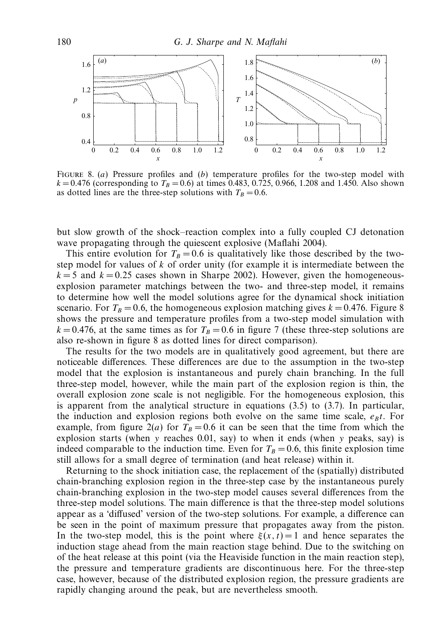

FIGURE 8.  $(a)$  Pressure profiles and  $(b)$  temperature profiles for the two-step model with  $k = 0.476$  (corresponding to  $T_B = 0.6$ ) at times 0.483, 0.725, 0.966, 1.208 and 1.450. Also shown as dotted lines are the three-step solutions with  $T_B = 0.6$ .

but slow growth of the shock–reaction complex into a fully coupled CJ detonation wave propagating through the quiescent explosive (Maflahi 2004).

This entire evolution for  $T_B = 0.6$  is qualitatively like those described by the twostep model for values of  $k$  of order unity (for example it is intermediate between the  $k = 5$  and  $k = 0.25$  cases shown in Sharpe 2002). However, given the homogeneousexplosion parameter matchings between the two- and three-step model, it remains to determine how well the model solutions agree for the dynamical shock initiation scenario. For  $T_B = 0.6$ , the homogeneous explosion matching gives  $k = 0.476$ . Figure 8 shows the pressure and temperature profiles from a two-step model simulation with  $k = 0.476$ , at the same times as for  $T_B = 0.6$  in figure 7 (these three-step solutions are also re-shown in figure 8 as dotted lines for direct comparison).

The results for the two models are in qualitatively good agreement, but there are noticeable differences. These differences are due to the assumption in the two-step model that the explosion is instantaneous and purely chain branching. In the full three-step model, however, while the main part of the explosion region is thin, the overall explosion zone scale is not negligible. For the homogeneous explosion, this is apparent from the analytical structure in equations (3.5) to (3.7). In particular, the induction and explosion regions both evolve on the same time scale,  $e_B t$ . For example, from figure  $2(a)$  for  $T_B = 0.6$  it can be seen that the time from which the explosion starts (when y reaches 0.01, say) to when it ends (when y peaks, say) is indeed comparable to the induction time. Even for  $T_B = 0.6$ , this finite explosion time still allows for a small degree of termination (and heat release) within it.

Returning to the shock initiation case, the replacement of the (spatially) distributed chain-branching explosion region in the three-step case by the instantaneous purely chain-branching explosion in the two-step model causes several differences from the three-step model solutions. The main difference is that the three-step model solutions appear as a 'diffused' version of the two-step solutions. For example, a difference can be seen in the point of maximum pressure that propagates away from the piston. In the two-step model, this is the point where  $\xi(x, t) = 1$  and hence separates the induction stage ahead from the main reaction stage behind. Due to the switching on of the heat release at this point (via the Heaviside function in the main reaction step), the pressure and temperature gradients are discontinuous here. For the three-step case, however, because of the distributed explosion region, the pressure gradients are rapidly changing around the peak, but are nevertheless smooth.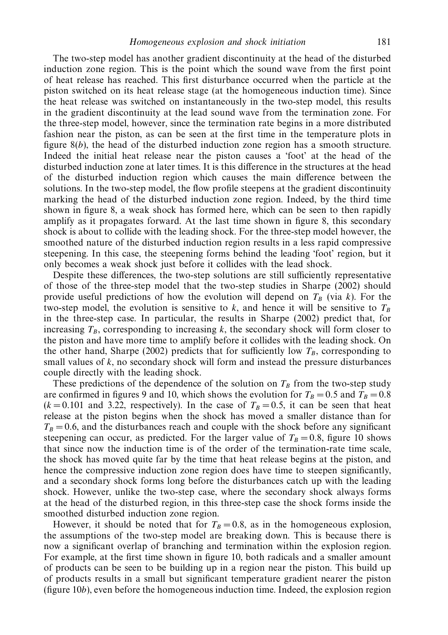The two-step model has another gradient discontinuity at the head of the disturbed induction zone region. This is the point which the sound wave from the first point of heat release has reached. This first disturbance occurred when the particle at the piston switched on its heat release stage (at the homogeneous induction time). Since the heat release was switched on instantaneously in the two-step model, this results in the gradient discontinuity at the lead sound wave from the termination zone. For the three-step model, however, since the termination rate begins in a more distributed fashion near the piston, as can be seen at the first time in the temperature plots in figure  $8(b)$ , the head of the disturbed induction zone region has a smooth structure. Indeed the initial heat release near the piston causes a 'foot' at the head of the disturbed induction zone at later times. It is this difference in the structures at the head of the disturbed induction region which causes the main difference between the solutions. In the two-step model, the flow profile steepens at the gradient discontinuity marking the head of the disturbed induction zone region. Indeed, by the third time shown in figure 8, a weak shock has formed here, which can be seen to then rapidly amplify as it propagates forward. At the last time shown in figure 8, this secondary shock is about to collide with the leading shock. For the three-step model however, the smoothed nature of the disturbed induction region results in a less rapid compressive steepening. In this case, the steepening forms behind the leading 'foot' region, but it only becomes a weak shock just before it collides with the lead shock.

Despite these differences, the two-step solutions are still sufficiently representative of those of the three-step model that the two-step studies in Sharpe (2002) should provide useful predictions of how the evolution will depend on  $T_B$  (via k). For the two-step model, the evolution is sensitive to k, and hence it will be sensitive to  $T_B$ in the three-step case. In particular, the results in Sharpe (2002) predict that, for increasing  $T_B$ , corresponding to increasing k, the secondary shock will form closer to the piston and have more time to amplify before it collides with the leading shock. On the other hand, Sharpe (2002) predicts that for sufficiently low  $T_B$ , corresponding to small values of  $k$ , no secondary shock will form and instead the pressure disturbances couple directly with the leading shock.

These predictions of the dependence of the solution on  $T_B$  from the two-step study are confirmed in figures 9 and 10, which shows the evolution for  $T_B = 0.5$  and  $T_B = 0.8$  $(k=0.101$  and 3.22, respectively). In the case of  $T_B = 0.5$ , it can be seen that heat release at the piston begins when the shock has moved a smaller distance than for  $T_B = 0.6$ , and the disturbances reach and couple with the shock before any significant steepening can occur, as predicted. For the larger value of  $T_B = 0.8$ , figure 10 shows that since now the induction time is of the order of the termination-rate time scale, the shock has moved quite far by the time that heat release begins at the piston, and hence the compressive induction zone region does have time to steepen significantly, and a secondary shock forms long before the disturbances catch up with the leading shock. However, unlike the two-step case, where the secondary shock always forms at the head of the disturbed region, in this three-step case the shock forms inside the smoothed disturbed induction zone region.

However, it should be noted that for  $T_B = 0.8$ , as in the homogeneous explosion, the assumptions of the two-step model are breaking down. This is because there is now a significant overlap of branching and termination within the explosion region. For example, at the first time shown in figure 10, both radicals and a smaller amount of products can be seen to be building up in a region near the piston. This build up of products results in a small but significant temperature gradient nearer the piston (figure  $10b$ ), even before the homogeneous induction time. Indeed, the explosion region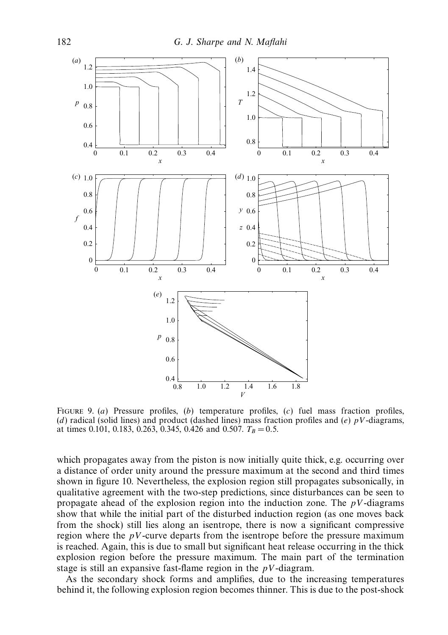

FIGURE 9. (a) Pressure profiles, (b) temperature profiles, (c) fuel mass fraction profiles, (d) radical (solid lines) and product (dashed lines) mass fraction profiles and (e)  $pV$ -diagrams, at times 0.101, 0.183, 0.263, 0.345, 0.426 and 0.507.  $T_B = 0.5$ .

which propagates away from the piston is now initially quite thick, e.g. occurring over a distance of order unity around the pressure maximum at the second and third times shown in figure 10. Nevertheless, the explosion region still propagates subsonically, in qualitative agreement with the two-step predictions, since disturbances can be seen to propagate ahead of the explosion region into the induction zone. The  $pV$ -diagrams show that while the initial part of the disturbed induction region (as one moves back from the shock) still lies along an isentrope, there is now a significant compressive region where the  $pV$ -curve departs from the isentrope before the pressure maximum is reached. Again, this is due to small but significant heat release occurring in the thick explosion region before the pressure maximum. The main part of the termination stage is still an expansive fast-flame region in the  $pV$ -diagram.

As the secondary shock forms and amplifies, due to the increasing temperatures behind it, the following explosion region becomes thinner. This is due to the post-shock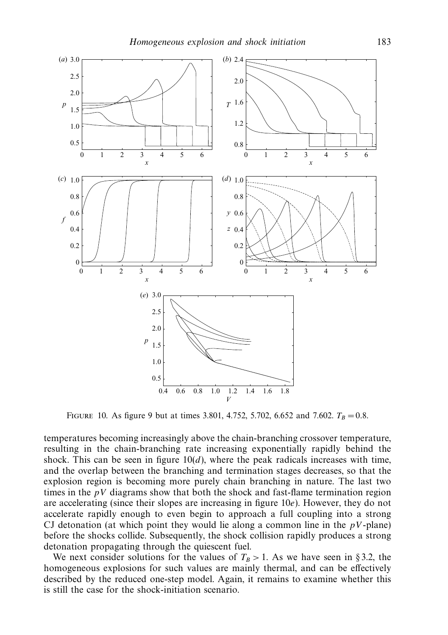

FIGURE 10. As figure 9 but at times 3.801, 4.752, 5.702, 6.652 and 7.602.  $T_B = 0.8$ .

temperatures becoming increasingly above the chain-branching crossover temperature, resulting in the chain-branching rate increasing exponentially rapidly behind the shock. This can be seen in figure  $10(d)$ , where the peak radicals increases with time, and the overlap between the branching and termination stages decreases, so that the explosion region is becoming more purely chain branching in nature. The last two times in the  $pV$  diagrams show that both the shock and fast-flame termination region are accelerating (since their slopes are increasing in figure  $10e$ ). However, they do not accelerate rapidly enough to even begin to approach a full coupling into a strong CJ detonation (at which point they would lie along a common line in the  $pV$ -plane) before the shocks collide. Subsequently, the shock collision rapidly produces a strong detonation propagating through the quiescent fuel.

We next consider solutions for the values of  $T_B > 1$ . As we have seen in § 3.2, the homogeneous explosions for such values are mainly thermal, and can be effectively described by the reduced one-step model. Again, it remains to examine whether this is still the case for the shock-initiation scenario.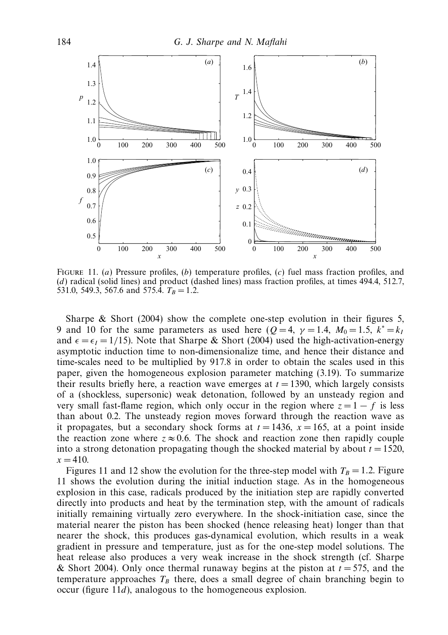

FIGURE 11. (a) Pressure profiles, (b) temperature profiles, (c) fuel mass fraction profiles, and (d) radical (solid lines) and product (dashed lines) mass fraction profiles, at times 494.4, 512.7, 531.0, 549.3, 567.6 and 575.4.  $T_B = 1.2$ .

Sharpe  $\&$  Short (2004) show the complete one-step evolution in their figures 5, 9 and 10 for the same parameters as used here  $(Q=4, \gamma=1.4, M_0=1.5, k^*=k_1)$ and  $\epsilon = \epsilon_1 = 1/15$ ). Note that Sharpe & Short (2004) used the high-activation-energy asymptotic induction time to non-dimensionalize time, and hence their distance and time-scales need to be multiplied by 917.8 in order to obtain the scales used in this paper, given the homogeneous explosion parameter matching (3.19). To summarize their results briefly here, a reaction wave emerges at  $t = 1390$ , which largely consists of a (shockless, supersonic) weak detonation, followed by an unsteady region and very small fast-flame region, which only occur in the region where  $z = 1 - f$  is less than about 0.2. The unsteady region moves forward through the reaction wave as it propagates, but a secondary shock forms at  $t = 1436$ ,  $x = 165$ , at a point inside the reaction zone where  $z \approx 0.6$ . The shock and reaction zone then rapidly couple into a strong detonation propagating though the shocked material by about  $t = 1520$ ,  $x = 410.$ 

Figures 11 and 12 show the evolution for the three-step model with  $T_B = 1.2$ . Figure 11 shows the evolution during the initial induction stage. As in the homogeneous explosion in this case, radicals produced by the initiation step are rapidly converted directly into products and heat by the termination step, with the amount of radicals initially remaining virtually zero everywhere. In the shock-initiation case, since the material nearer the piston has been shocked (hence releasing heat) longer than that nearer the shock, this produces gas-dynamical evolution, which results in a weak gradient in pressure and temperature, just as for the one-step model solutions. The heat release also produces a very weak increase in the shock strength (cf. Sharpe & Short 2004). Only once thermal runaway begins at the piston at  $t = 575$ , and the temperature approaches  $T_B$  there, does a small degree of chain branching begin to occur (figure 11d), analogous to the homogeneous explosion.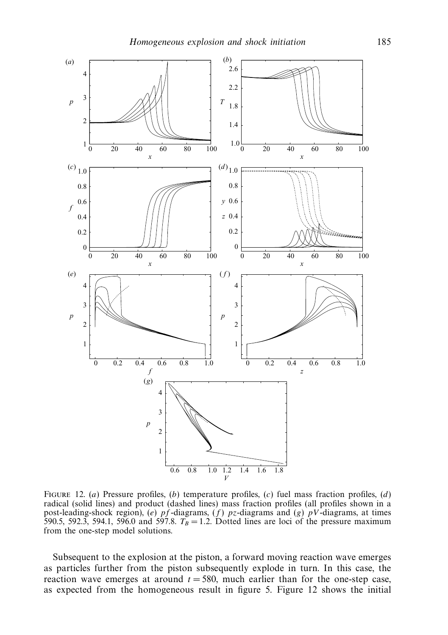

FIGURE 12. (a) Pressure profiles, (b) temperature profiles, (c) fuel mass fraction profiles, (d) radical (solid lines) and product (dashed lines) mass fraction profiles (all profiles shown in a post-leading-shock region), (e) pf-diagrams, (f) pz-diagrams and (g) pV-diagrams, at times 590.5, 592.3, 594.1, 596.0 and 597.8.  $T_B = 1.2$ . Dotted lines are loci of the pressure maximum from the one-step model solutions.

Subsequent to the explosion at the piston, a forward moving reaction wave emerges as particles further from the piston subsequently explode in turn. In this case, the reaction wave emerges at around  $t = 580$ , much earlier than for the one-step case, as expected from the homogeneous result in figure 5. Figure 12 shows the initial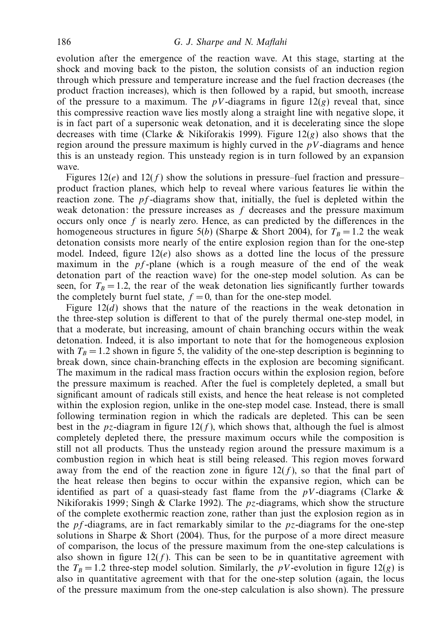evolution after the emergence of the reaction wave. At this stage, starting at the shock and moving back to the piston, the solution consists of an induction region through which pressure and temperature increase and the fuel fraction decreases (the product fraction increases), which is then followed by a rapid, but smooth, increase of the pressure to a maximum. The *pV*-diagrams in figure  $12(g)$  reveal that, since this compressive reaction wave lies mostly along a straight line with negative slope, it is in fact part of a supersonic weak detonation, and it is decelerating since the slope decreases with time (Clarke & Nikiforakis 1999). Figure 12(g) also shows that the region around the pressure maximum is highly curved in the  $pV$ -diagrams and hence this is an unsteady region. This unsteady region is in turn followed by an expansion wave.

Figures 12(e) and 12(f) show the solutions in pressure–fuel fraction and pressure– product fraction planes, which help to reveal where various features lie within the reaction zone. The  $pf$ -diagrams show that, initially, the fuel is depleted within the weak detonation: the pressure increases as  $f$  decreases and the pressure maximum occurs only once f is nearly zero. Hence, as can predicted by the differences in the homogeneous structures in figure 5(b) (Sharpe & Short 2004), for  $T_B = 1.2$  the weak detonation consists more nearly of the entire explosion region than for the one-step model. Indeed, figure  $12(e)$  also shows as a dotted line the locus of the pressure maximum in the  $pf$ -plane (which is a rough measure of the end of the weak detonation part of the reaction wave) for the one-step model solution. As can be seen, for  $T_B = 1.2$ , the rear of the weak detonation lies significantly further towards the completely burnt fuel state,  $f = 0$ , than for the one-step model.

Figure  $12(d)$  shows that the nature of the reactions in the weak detonation in the three-step solution is different to that of the purely thermal one-step model, in that a moderate, but increasing, amount of chain branching occurs within the weak detonation. Indeed, it is also important to note that for the homogeneous explosion with  $T_B = 1.2$  shown in figure 5, the validity of the one-step description is beginning to break down, since chain-branching effects in the explosion are becoming significant. The maximum in the radical mass fraction occurs within the explosion region, before the pressure maximum is reached. After the fuel is completely depleted, a small but significant amount of radicals still exists, and hence the heat release is not completed within the explosion region, unlike in the one-step model case. Instead, there is small following termination region in which the radicals are depleted. This can be seen best in the pz-diagram in figure  $12(f)$ , which shows that, although the fuel is almost completely depleted there, the pressure maximum occurs while the composition is still not all products. Thus the unsteady region around the pressure maximum is a combustion region in which heat is still being released. This region moves forward away from the end of the reaction zone in figure  $12(f)$ , so that the final part of the heat release then begins to occur within the expansive region, which can be identified as part of a quasi-steady fast flame from the  $pV$ -diagrams (Clarke & Nikiforakis 1999; Singh & Clarke 1992). The  $pz$ -diagrams, which show the structure of the complete exothermic reaction zone, rather than just the explosion region as in the  $pf$ -diagrams, are in fact remarkably similar to the  $pz$ -diagrams for the one-step solutions in Sharpe & Short (2004). Thus, for the purpose of a more direct measure of comparison, the locus of the pressure maximum from the one-step calculations is also shown in figure  $12(f)$ . This can be seen to be in quantitative agreement with the  $T_B = 1.2$  three-step model solution. Similarly, the pV-evolution in figure 12(g) is also in quantitative agreement with that for the one-step solution (again, the locus of the pressure maximum from the one-step calculation is also shown). The pressure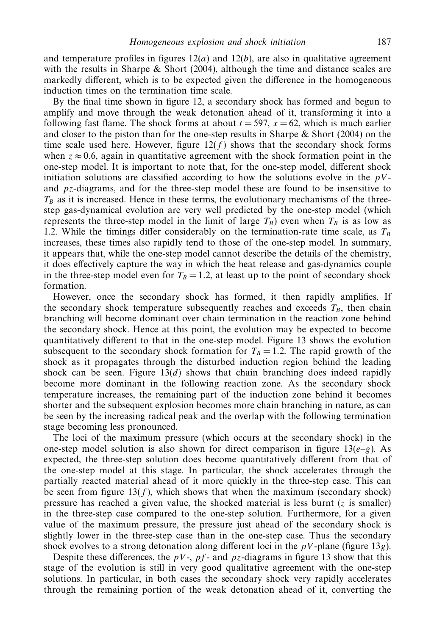and temperature profiles in figures  $12(a)$  and  $12(b)$ , are also in qualitative agreement with the results in Sharpe  $\&$  Short (2004), although the time and distance scales are markedly different, which is to be expected given the difference in the homogeneous induction times on the termination time scale.

By the final time shown in figure 12, a secondary shock has formed and begun to amplify and move through the weak detonation ahead of it, transforming it into a following fast flame. The shock forms at about  $t = 597$ ,  $x = 62$ , which is much earlier and closer to the piston than for the one-step results in Sharpe  $\&$  Short (2004) on the time scale used here. However, figure  $12(f)$  shows that the secondary shock forms when  $z \approx 0.6$ , again in quantitative agreement with the shock formation point in the one-step model. It is important to note that, for the one-step model, different shock initiation solutions are classified according to how the solutions evolve in the  $pV$ and  $pz$ -diagrams, and for the three-step model these are found to be insensitive to  $T_B$  as it is increased. Hence in these terms, the evolutionary mechanisms of the threestep gas-dynamical evolution are very well predicted by the one-step model (which represents the three-step model in the limit of large  $T_B$ ) even when  $T_B$  is as low as 1.2. While the timings differ considerably on the termination-rate time scale, as  $T_B$ increases, these times also rapidly tend to those of the one-step model. In summary, it appears that, while the one-step model cannot describe the details of the chemistry, it does effectively capture the way in which the heat release and gas-dynamics couple in the three-step model even for  $T_B = 1.2$ , at least up to the point of secondary shock formation.

However, once the secondary shock has formed, it then rapidly amplifies. If the secondary shock temperature subsequently reaches and exceeds  $T_B$ , then chain branching will become dominant over chain termination in the reaction zone behind the secondary shock. Hence at this point, the evolution may be expected to become quantitatively different to that in the one-step model. Figure 13 shows the evolution subsequent to the secondary shock formation for  $T_B = 1.2$ . The rapid growth of the shock as it propagates through the disturbed induction region behind the leading shock can be seen. Figure  $13(d)$  shows that chain branching does indeed rapidly become more dominant in the following reaction zone. As the secondary shock temperature increases, the remaining part of the induction zone behind it becomes shorter and the subsequent explosion becomes more chain branching in nature, as can be seen by the increasing radical peak and the overlap with the following termination stage becoming less pronounced.

The loci of the maximum pressure (which occurs at the secondary shock) in the one-step model solution is also shown for direct comparison in figure  $13(e-g)$ . As expected, the three-step solution does become quantitatively different from that of the one-step model at this stage. In particular, the shock accelerates through the partially reacted material ahead of it more quickly in the three-step case. This can be seen from figure 13( $f$ ), which shows that when the maximum (secondary shock) pressure has reached a given value, the shocked material is less burnt  $(z$  is smaller) in the three-step case compared to the one-step solution. Furthermore, for a given value of the maximum pressure, the pressure just ahead of the secondary shock is slightly lower in the three-step case than in the one-step case. Thus the secondary shock evolves to a strong detonation along different loci in the  $pV$ -plane (figure 13g).

Despite these differences, the  $pV$ -,  $pf$ - and  $pz$ -diagrams in figure 13 show that this stage of the evolution is still in very good qualitative agreement with the one-step solutions. In particular, in both cases the secondary shock very rapidly accelerates through the remaining portion of the weak detonation ahead of it, converting the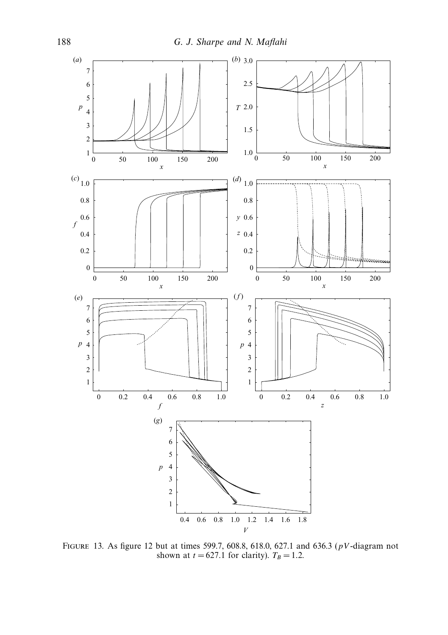

FIGURE 13. As figure 12 but at times 599.7, 608.8, 618.0, 627.1 and 636.3 ( $pV$ -diagram not shown at  $t = 627.1$  for clarity).  $T_B = 1.2$ .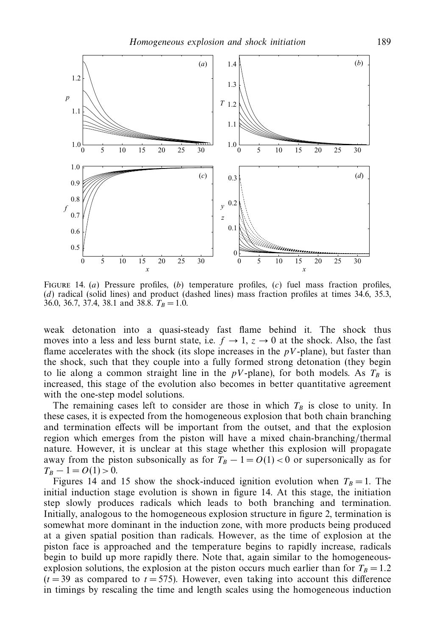

FIGURE 14. (a) Pressure profiles, (b) temperature profiles, (c) fuel mass fraction profiles, (d) radical (solid lines) and product (dashed lines) mass fraction profiles at times 34.6, 35.3, 36.0, 36.7, 37.4, 38.1 and 38.8.  $T_B = 1.0$ .

weak detonation into a quasi-steady fast flame behind it. The shock thus moves into a less and less burnt state, i.e.  $f \to 1$ ,  $z \to 0$  at the shock. Also, the fast flame accelerates with the shock (its slope increases in the  $pV$ -plane), but faster than the shock, such that they couple into a fully formed strong detonation (they begin to lie along a common straight line in the  $pV$ -plane), for both models. As  $T_B$  is increased, this stage of the evolution also becomes in better quantitative agreement with the one-step model solutions.

The remaining cases left to consider are those in which  $T_B$  is close to unity. In these cases, it is expected from the homogeneous explosion that both chain branching and termination effects will be important from the outset, and that the explosion region which emerges from the piston will have a mixed chain-branching/thermal nature. However, it is unclear at this stage whether this explosion will propagate away from the piston subsonically as for  $T_B - 1 = O(1) < 0$  or supersonically as for  $T_B - 1 = O(1) > 0.$ 

Figures 14 and 15 show the shock-induced ignition evolution when  $T_B = 1$ . The initial induction stage evolution is shown in figure 14. At this stage, the initiation step slowly produces radicals which leads to both branching and termination. Initially, analogous to the homogeneous explosion structure in figure 2, termination is somewhat more dominant in the induction zone, with more products being produced at a given spatial position than radicals. However, as the time of explosion at the piston face is approached and the temperature begins to rapidly increase, radicals begin to build up more rapidly there. Note that, again similar to the homogeneousexplosion solutions, the explosion at the piston occurs much earlier than for  $T_B = 1.2$  $(t = 39)$  as compared to  $t = 575$ ). However, even taking into account this difference in timings by rescaling the time and length scales using the homogeneous induction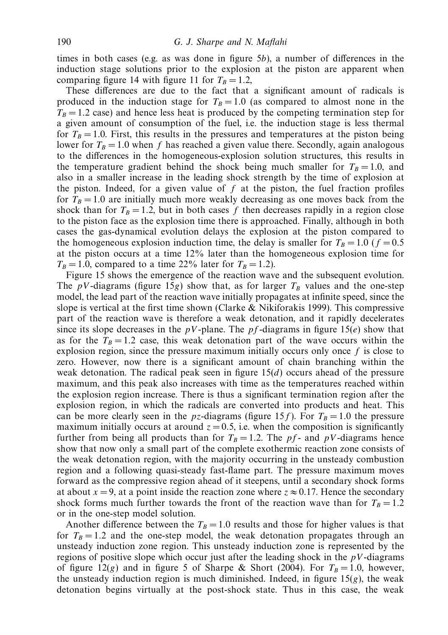times in both cases (e.g. as was done in figure 5b), a number of differences in the induction stage solutions prior to the explosion at the piston are apparent when comparing figure 14 with figure 11 for  $T_B = 1.2$ ,

These differences are due to the fact that a significant amount of radicals is produced in the induction stage for  $T_B = 1.0$  (as compared to almost none in the  $T_B = 1.2$  case) and hence less heat is produced by the competing termination step for a given amount of consumption of the fuel, i.e. the induction stage is less thermal for  $T_B = 1.0$ . First, this results in the pressures and temperatures at the piston being lower for  $T_B = 1.0$  when f has reached a given value there. Secondly, again analogous to the differences in the homogeneous-explosion solution structures, this results in the temperature gradient behind the shock being much smaller for  $T_B = 1.0$ , and also in a smaller increase in the leading shock strength by the time of explosion at the piston. Indeed, for a given value of  $f$  at the piston, the fuel fraction profiles for  $T_B = 1.0$  are initially much more weakly decreasing as one moves back from the shock than for  $T_B = 1.2$ , but in both cases f then decreases rapidly in a region close to the piston face as the explosion time there is approached. Finally, although in both cases the gas-dynamical evolution delays the explosion at the piston compared to the homogeneous explosion induction time, the delay is smaller for  $T_B = 1.0$  ( $f = 0.5$ ) at the piston occurs at a time 12% later than the homogeneous explosion time for  $T_B = 1.0$ , compared to a time 22% later for  $T_B = 1.2$ ).

Figure 15 shows the emergence of the reaction wave and the subsequent evolution. The pV-diagrams (figure 15g) show that, as for larger  $T_B$  values and the one-step model, the lead part of the reaction wave initially propagates at infinite speed, since the slope is vertical at the first time shown (Clarke & Nikiforakis 1999). This compressive part of the reaction wave is therefore a weak detonation, and it rapidly decelerates since its slope decreases in the  $pV$ -plane. The  $pf$ -diagrams in figure 15(e) show that as for the  $T_B = 1.2$  case, this weak detonation part of the wave occurs within the explosion region, since the pressure maximum initially occurs only once  $f$  is close to zero. However, now there is a significant amount of chain branching within the weak detonation. The radical peak seen in figure  $15(d)$  occurs ahead of the pressure maximum, and this peak also increases with time as the temperatures reached within the explosion region increase. There is thus a significant termination region after the explosion region, in which the radicals are converted into products and heat. This can be more clearly seen in the pz-diagrams (figure 15f). For  $T_B = 1.0$  the pressure maximum initially occurs at around  $z = 0.5$ , i.e. when the composition is significantly further from being all products than for  $T_B = 1.2$ . The pf- and pV-diagrams hence show that now only a small part of the complete exothermic reaction zone consists of the weak detonation region, with the majority occurring in the unsteady combustion region and a following quasi-steady fast-flame part. The pressure maximum moves forward as the compressive region ahead of it steepens, until a secondary shock forms at about  $x = 9$ , at a point inside the reaction zone where  $z \approx 0.17$ . Hence the secondary shock forms much further towards the front of the reaction wave than for  $T_B = 1.2$ or in the one-step model solution.

Another difference between the  $T_B = 1.0$  results and those for higher values is that for  $T_B = 1.2$  and the one-step model, the weak detonation propagates through an unsteady induction zone region. This unsteady induction zone is represented by the regions of positive slope which occur just after the leading shock in the  $pV$ -diagrams of figure 12(g) and in figure 5 of Sharpe & Short (2004). For  $T_B = 1.0$ , however, the unsteady induction region is much diminished. Indeed, in figure  $15(g)$ , the weak detonation begins virtually at the post-shock state. Thus in this case, the weak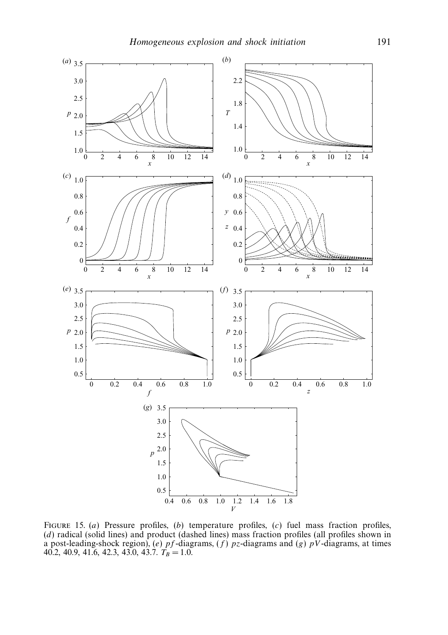

FIGURE 15. (a) Pressure profiles, (b) temperature profiles, (c) fuel mass fraction profiles, (d) radical (solid lines) and product (dashed lines) mass fraction profiles (all profiles shown in a post-leading-shock region), (e) pf-diagrams, (f) pz-diagrams and (g) pV-diagrams, at times 40.2, 40.9, 41.6, 42.3, 43.0, 43.7.  $T_B = 1.0$ .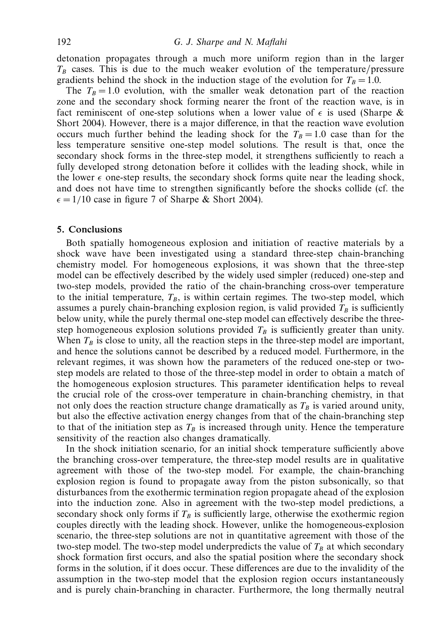detonation propagates through a much more uniform region than in the larger  $T_B$  cases. This is due to the much weaker evolution of the temperature/pressure gradients behind the shock in the induction stage of the evolution for  $T_B = 1.0$ .

The  $T_B = 1.0$  evolution, with the smaller weak detonation part of the reaction zone and the secondary shock forming nearer the front of the reaction wave, is in fact reminiscent of one-step solutions when a lower value of  $\epsilon$  is used (Sharpe & Short 2004). However, there is a major difference, in that the reaction wave evolution occurs much further behind the leading shock for the  $T_B = 1.0$  case than for the less temperature sensitive one-step model solutions. The result is that, once the secondary shock forms in the three-step model, it strengthens sufficiently to reach a fully developed strong detonation before it collides with the leading shock, while in the lower  $\epsilon$  one-step results, the secondary shock forms quite near the leading shock, and does not have time to strengthen significantly before the shocks collide (cf. the  $\epsilon = 1/10$  case in figure 7 of Sharpe & Short 2004).

#### 5. Conclusions

Both spatially homogeneous explosion and initiation of reactive materials by a shock wave have been investigated using a standard three-step chain-branching chemistry model. For homogeneous explosions, it was shown that the three-step model can be effectively described by the widely used simpler (reduced) one-step and two-step models, provided the ratio of the chain-branching cross-over temperature to the initial temperature,  $T_B$ , is within certain regimes. The two-step model, which assumes a purely chain-branching explosion region, is valid provided  $T_B$  is sufficiently below unity, while the purely thermal one-step model can effectively describe the threestep homogeneous explosion solutions provided  $T_B$  is sufficiently greater than unity. When  $T_B$  is close to unity, all the reaction steps in the three-step model are important, and hence the solutions cannot be described by a reduced model. Furthermore, in the relevant regimes, it was shown how the parameters of the reduced one-step or twostep models are related to those of the three-step model in order to obtain a match of the homogeneous explosion structures. This parameter identification helps to reveal the crucial role of the cross-over temperature in chain-branching chemistry, in that not only does the reaction structure change dramatically as  $T_B$  is varied around unity, but also the effective activation energy changes from that of the chain-branching step to that of the initiation step as  $T_B$  is increased through unity. Hence the temperature sensitivity of the reaction also changes dramatically.

In the shock initiation scenario, for an initial shock temperature sufficiently above the branching cross-over temperature, the three-step model results are in qualitative agreement with those of the two-step model. For example, the chain-branching explosion region is found to propagate away from the piston subsonically, so that disturbances from the exothermic termination region propagate ahead of the explosion into the induction zone. Also in agreement with the two-step model predictions, a secondary shock only forms if  $T_B$  is sufficiently large, otherwise the exothermic region couples directly with the leading shock. However, unlike the homogeneous-explosion scenario, the three-step solutions are not in quantitative agreement with those of the two-step model. The two-step model underpredicts the value of  $T_B$  at which secondary shock formation first occurs, and also the spatial position where the secondary shock forms in the solution, if it does occur. These differences are due to the invalidity of the assumption in the two-step model that the explosion region occurs instantaneously and is purely chain-branching in character. Furthermore, the long thermally neutral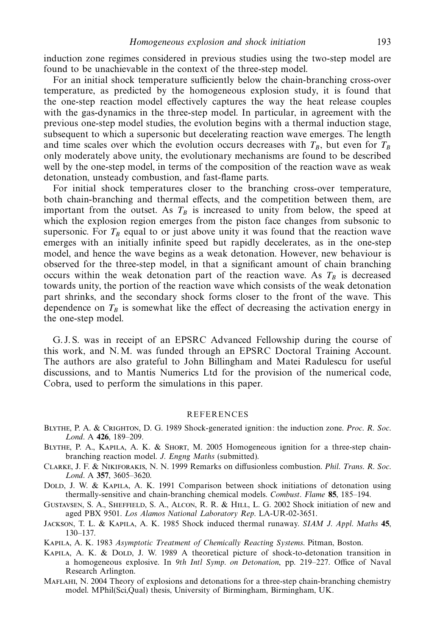induction zone regimes considered in previous studies using the two-step model are found to be unachievable in the context of the three-step model.

For an initial shock temperature sufficiently below the chain-branching cross-over temperature, as predicted by the homogeneous explosion study, it is found that the one-step reaction model effectively captures the way the heat release couples with the gas-dynamics in the three-step model. In particular, in agreement with the previous one-step model studies, the evolution begins with a thermal induction stage, subsequent to which a supersonic but decelerating reaction wave emerges. The length and time scales over which the evolution occurs decreases with  $T_B$ , but even for  $T_B$ only moderately above unity, the evolutionary mechanisms are found to be described well by the one-step model, in terms of the composition of the reaction wave as weak detonation, unsteady combustion, and fast-flame parts.

For initial shock temperatures closer to the branching cross-over temperature, both chain-branching and thermal effects, and the competition between them, are important from the outset. As  $T_B$  is increased to unity from below, the speed at which the explosion region emerges from the piston face changes from subsonic to supersonic. For  $T_B$  equal to or just above unity it was found that the reaction wave emerges with an initially infinite speed but rapidly decelerates, as in the one-step model, and hence the wave begins as a weak detonation. However, new behaviour is observed for the three-step model, in that a significant amount of chain branching occurs within the weak detonation part of the reaction wave. As  $T_B$  is decreased towards unity, the portion of the reaction wave which consists of the weak detonation part shrinks, and the secondary shock forms closer to the front of the wave. This dependence on  $T_B$  is somewhat like the effect of decreasing the activation energy in the one-step model.

G. J. S. was in receipt of an EPSRC Advanced Fellowship during the course of this work, and N. M. was funded through an EPSRC Doctoral Training Account. The authors are also grateful to John Billingham and Matei Radulescu for useful discussions, and to Mantis Numerics Ltd for the provision of the numerical code, Cobra, used to perform the simulations in this paper.

#### REFERENCES

- BLYTHE, P. A. & CRIGHTON, D. G. 1989 Shock-generated ignition: the induction zone. *Proc. R. Soc.* Lond. A 426, 189–209.
- BLYTHE, P. A., KAPILA, A. K. & SHORT, M. 2005 Homogeneous ignition for a three-step chainbranching reaction model. J. Engng Maths (submitted).
- Clarke, J. F. & Nikiforakis, N. N. 1999 Remarks on diffusionless combustion. Phil. Trans. R. Soc. Lond. A 357, 3605–3620.
- DOLD, J. W. & KAPILA, A. K. 1991 Comparison between shock initiations of detonation using thermally-sensitive and chain-branching chemical models. Combust. Flame 85, 185–194.
- Gustavsen, S. A., Sheffield, S. A., Alcon, R. R. & Hill, L. G. 2002 Shock initiation of new and aged PBX 9501. Los Alamos National Laboratory Rep. LA-UR-02-3651.
- JACKSON, T. L. & KAPILA, A. K. 1985 Shock induced thermal runaway. SIAM J. Appl. Maths 45, 130–137.

Kapila, A. K. 1983 Asymptotic Treatment of Chemically Reacting Systems. Pitman, Boston.

- KAPILA, A. K. & DOLD, J. W. 1989 A theoretical picture of shock-to-detonation transition in a homogeneous explosive. In 9th Intl Symp. on Detonation, pp. 219–227. Office of Naval Research Arlington.
- Maflahi, N. 2004 Theory of explosions and detonations for a three-step chain-branching chemistry model. MPhil(Sci,Qual) thesis, University of Birmingham, Birmingham, UK.